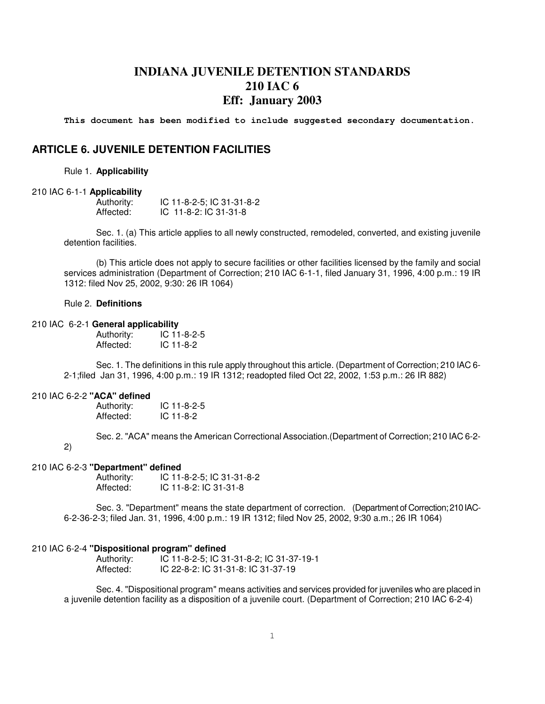## **INDIANA JUVENILE DETENTION STANDARDS 210 IAC 6 Eff: January 2003**

**This document has been modified to include suggested secondary documentation.** 

### **ARTICLE 6. JUVENILE DETENTION FACILITIES**

Rule 1. **Applicability**

#### 210 IAC 6-1-1 **Applicability**

| Authority: | IC 11-8-2-5; IC 31-31-8-2 |
|------------|---------------------------|
| Affected:  | $IC$ 11-8-2: $IC$ 31-31-8 |

Sec. 1. (a) This article applies to all newly constructed, remodeled, converted, and existing juvenile detention facilities.

(b) This article does not apply to secure facilities or other facilities licensed by the family and social services administration (Department of Correction; 210 IAC 6-1-1, filed January 31, 1996, 4:00 p.m.: 19 IR 1312: filed Nov 25, 2002, 9:30: 26 IR 1064)

#### Rule 2. **Definitions**

#### 210 IAC 6-2-1 **General applicability**

Authority: IC 11-8-2-5 Affected: IC 11-8-2

Sec. 1. The definitions in this rule apply throughout this article. (Department of Correction; 210 IAC 6- 2-1;filed Jan 31, 1996, 4:00 p.m.: 19 IR 1312; readopted filed Oct 22, 2002, 1:53 p.m.: 26 IR 882)

#### 210 IAC 6-2-2 **"ACA" defined**

Authority: IC 11-8-2-5<br>Affected: IC 11-8-2 Affected:

Sec. 2. "ACA" means the American Correctional Association.(Department of Correction; 210 IAC 6-2-

2)

#### 210 IAC 6-2-3 **"Department" defined**

Authority: IC 11-8-2-5; IC 31-31-8-2 Affected: IC 11-8-2: IC 31-31-8

Sec. 3. "Department" means the state department of correction. (Department of Correction; 210 IAC-6-2-36-2-3; filed Jan. 31, 1996, 4:00 p.m.: 19 IR 1312; filed Nov 25, 2002, 9:30 a.m.; 26 IR 1064)

#### 210 IAC 6-2-4 **"Dispositional program" defined**

Authority: IC 11-8-2-5; IC 31-31-8-2; IC 31-37-19-1 Affected: IC 22-8-2: IC 31-31-8: IC 31-37-19

Sec. 4. "Dispositional program" means activities and services provided for juveniles who are placed in a juvenile detention facility as a disposition of a juvenile court. (Department of Correction; 210 IAC 6-2-4)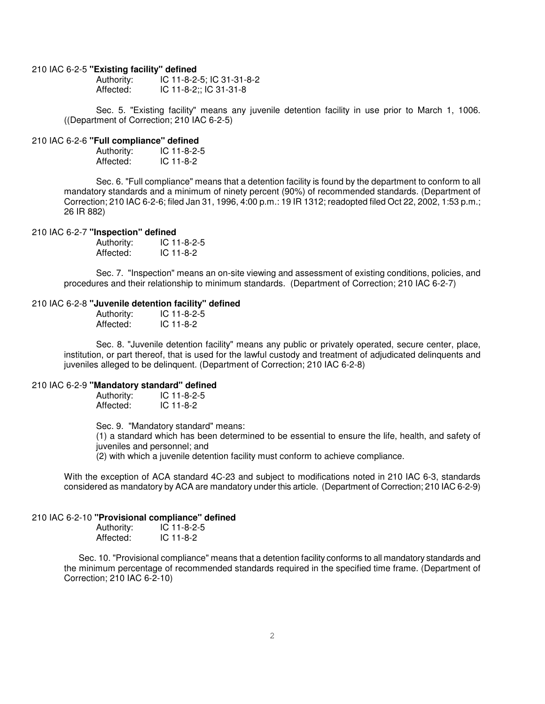#### 210 IAC 6-2-5 **"Existing facility" defined**

| Authority: | IC 11-8-2-5; IC 31-31-8-2 |
|------------|---------------------------|
| Affected:  | IC 11-8-2;; IC 31-31-8    |

Sec. 5. "Existing facility" means any juvenile detention facility in use prior to March 1, 1006. ((Department of Correction; 210 IAC 6-2-5)

#### 210 IAC 6-2-6 **"Full compliance" defined**

| Authority: | IC 11-8-2-5 |
|------------|-------------|
| Affected:  | $IC$ 11-8-2 |

Sec. 6. "Full compliance" means that a detention facility is found by the department to conform to all mandatory standards and a minimum of ninety percent (90%) of recommended standards. (Department of Correction; 210 IAC 6-2-6; filed Jan 31, 1996, 4:00 p.m.: 19 IR 1312; readopted filed Oct 22, 2002, 1:53 p.m.; 26 IR 882)

#### 210 IAC 6-2-7 **"Inspection" defined**

| Authority: | $IC$ 11-8-2-5 |
|------------|---------------|
| Affected:  | IC 11-8-2     |

Sec. 7. "Inspection" means an on-site viewing and assessment of existing conditions, policies, and procedures and their relationship to minimum standards. (Department of Correction; 210 IAC 6-2-7)

#### 210 IAC 6-2-8 **"Juvenile detention facility" defined**

| Authority: | $IC$ 11-8-2-5 |
|------------|---------------|
| Affected:  | $IC$ 11-8-2   |

Sec. 8. "Juvenile detention facility" means any public or privately operated, secure center, place, institution, or part thereof, that is used for the lawful custody and treatment of adjudicated delinquents and juveniles alleged to be delinquent. (Department of Correction; 210 IAC 6-2-8)

# 210 IAC 6-2-9 **"Mandatory standard" defined**

Authority: IC 11-8-2-5<br>Affected: IC 11-8-2 IC 11-8-2

Sec. 9. "Mandatory standard" means:

(1) a standard which has been determined to be essential to ensure the life, health, and safety of juveniles and personnel; and

(2) with which a juvenile detention facility must conform to achieve compliance.

With the exception of ACA standard 4C-23 and subject to modifications noted in 210 IAC 6-3, standards considered as mandatory by ACA are mandatory under this article. (Department of Correction; 210 IAC 6-2-9)

#### 210 IAC 6-2-10 **"Provisional compliance" defined**

| Authority: | $IC$ 11-8-2-5 |
|------------|---------------|
| Affected:  | $IC$ 11-8-2   |

 Sec. 10. "Provisional compliance" means that a detention facility conforms to all mandatory standards and the minimum percentage of recommended standards required in the specified time frame. (Department of Correction; 210 IAC 6-2-10)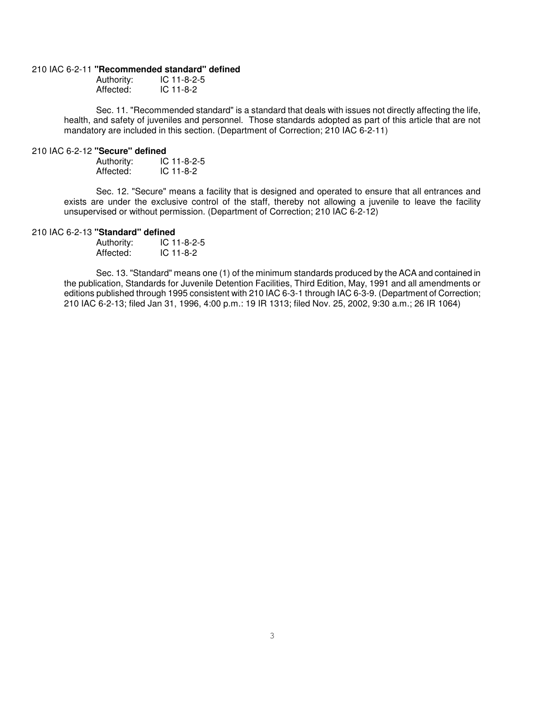#### 210 IAC 6-2-11 **"Recommended standard" defined**

| Authority: | $IC$ 11-8-2-5 |
|------------|---------------|
| Affected:  | $IC$ 11-8-2   |

Sec. 11. "Recommended standard" is a standard that deals with issues not directly affecting the life, health, and safety of juveniles and personnel. Those standards adopted as part of this article that are not mandatory are included in this section. (Department of Correction; 210 IAC 6-2-11)

# 210 IAC 6-2-12 **"Secure" defined**

IC 11-8-2-5 Affected: IC 11-8-2

Sec. 12. "Secure" means a facility that is designed and operated to ensure that all entrances and exists are under the exclusive control of the staff, thereby not allowing a juvenile to leave the facility unsupervised or without permission. (Department of Correction; 210 IAC 6-2-12)

#### 210 IAC 6-2-13 **"Standard" defined**

| Authority: | $IC$ 11-8-2-5 |
|------------|---------------|
| Affected:  | $IC$ 11-8-2   |

Sec. 13. "Standard" means one (1) of the minimum standards produced by the ACA and contained in the publication, Standards for Juvenile Detention Facilities, Third Edition, May, 1991 and all amendments or editions published through 1995 consistent with 210 IAC 6-3-1 through IAC 6-3-9. (Department of Correction; 210 IAC 6-2-13; filed Jan 31, 1996, 4:00 p.m.: 19 IR 1313; filed Nov. 25, 2002, 9:30 a.m.; 26 IR 1064)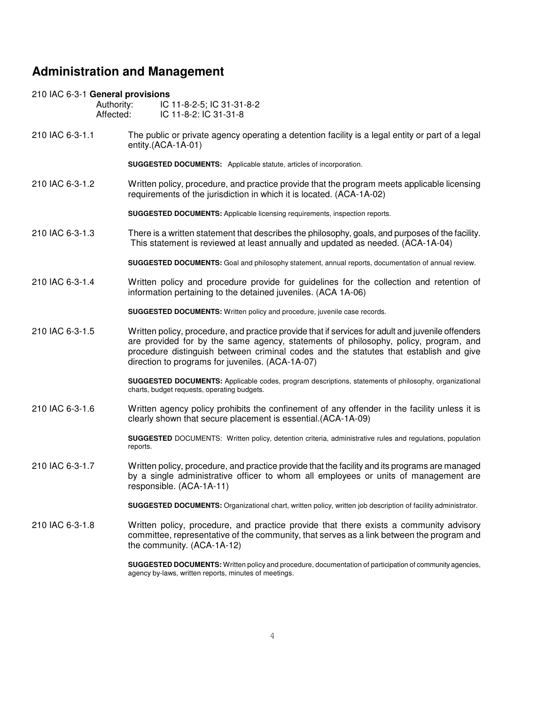## **Administration and Management**

# 210 IAC 6-3-1 **General provisions**

IC 11-8-2-5; IC 31-31-8-2 Affected: IC 11-8-2: IC 31-31-8

210 IAC 6-3-1.1 The public or private agency operating a detention facility is a legal entity or part of a legal entity.(ACA-1A-01)

**SUGGESTED DOCUMENTS:** Applicable statute, articles of incorporation.

210 IAC 6-3-1.2 Written policy, procedure, and practice provide that the program meets applicable licensing requirements of the jurisdiction in which it is located. (ACA-1A-02)

**SUGGESTED DOCUMENTS:** Applicable licensing requirements, inspection reports.

210 IAC 6-3-1.3 There is a written statement that describes the philosophy, goals, and purposes of the facility. This statement is reviewed at least annually and updated as needed. (ACA-1A-04)

**SUGGESTED DOCUMENTS:** Goal and philosophy statement, annual reports, documentation of annual review.

210 IAC 6-3-1.4 Written policy and procedure provide for guidelines for the collection and retention of information pertaining to the detained juveniles. (ACA 1A-06)

**SUGGESTED DOCUMENTS:** Written policy and procedure, juvenile case records.

210 IAC 6-3-1.5 Written policy, procedure, and practice provide that if services for adult and juvenile offenders are provided for by the same agency, statements of philosophy, policy, program, and procedure distinguish between criminal codes and the statutes that establish and give direction to programs for juveniles. (ACA-1A-07)

> **SUGGESTED DOCUMENTS:** Applicable codes, program descriptions, statements of philosophy, organizational charts, budget requests, operating budgets.

210 IAC 6-3-1.6 Written agency policy prohibits the confinement of any offender in the facility unless it is clearly shown that secure placement is essential.(ACA-1A-09)

> **SUGGESTED** DOCUMENTS: Written policy, detention criteria, administrative rules and regulations, population reports.

210 IAC 6-3-1.7 Written policy, procedure, and practice provide that the facility and its programs are managed by a single administrative officer to whom all employees or units of management are responsible. (ACA-1A-11)

**SUGGESTED DOCUMENTS:** Organizational chart, written policy, written job description of facility administrator.

210 IAC 6-3-1.8 Written policy, procedure, and practice provide that there exists a community advisory committee, representative of the community, that serves as a link between the program and the community. (ACA-1A-12)

> **SUGGESTED DOCUMENTS:** Written policy and procedure, documentation of participation of community agencies, agency by-laws, written reports, minutes of meetings.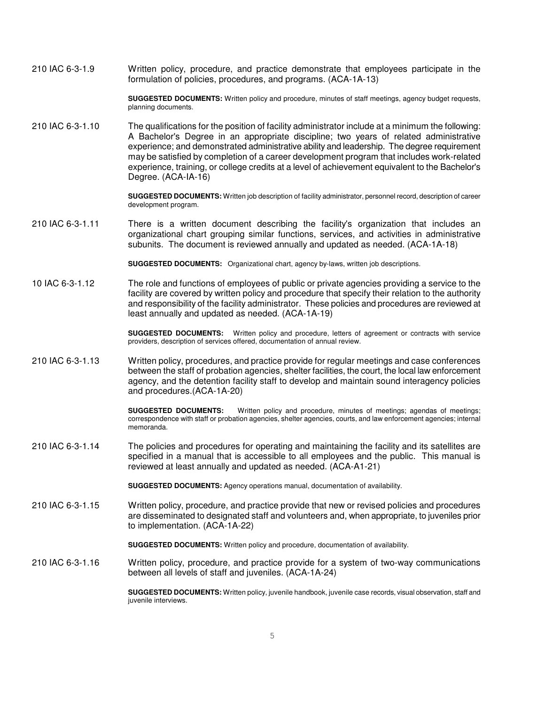210 IAC 6-3-1.9 Written policy, procedure, and practice demonstrate that employees participate in the formulation of policies, procedures, and programs. (ACA-1A-13)

> **SUGGESTED DOCUMENTS:** Written policy and procedure, minutes of staff meetings, agency budget requests, planning documents.

210 IAC 6-3-1.10 The qualifications for the position of facility administrator include at a minimum the following: A Bachelor's Degree in an appropriate discipline; two years of related administrative experience; and demonstrated administrative ability and leadership. The degree requirement may be satisfied by completion of a career development program that includes work-related experience, training, or college credits at a level of achievement equivalent to the Bachelor's Degree. (ACA-IA-16)

> **SUGGESTED DOCUMENTS:** Written job description of facility administrator, personnel record, description of career development program.

210 IAC 6-3-1.11 There is a written document describing the facility's organization that includes an organizational chart grouping similar functions, services, and activities in administrative subunits. The document is reviewed annually and updated as needed. (ACA-1A-18)

**SUGGESTED DOCUMENTS:** Organizational chart, agency by-laws, written job descriptions.

10 IAC 6-3-1.12 The role and functions of employees of public or private agencies providing a service to the facility are covered by written policy and procedure that specify their relation to the authority and responsibility of the facility administrator. These policies and procedures are reviewed at least annually and updated as needed. (ACA-1A-19)

> **SUGGESTED DOCUMENTS:** Written policy and procedure, letters of agreement or contracts with service providers, description of services offered, documentation of annual review.

210 IAC 6-3-1.13 Written policy, procedures, and practice provide for regular meetings and case conferences between the staff of probation agencies, shelter facilities, the court, the local law enforcement agency, and the detention facility staff to develop and maintain sound interagency policies and procedures.(ACA-1A-20)

> **SUGGESTED DOCUMENTS:** Written policy and procedure, minutes of meetings; agendas of meetings; correspondence with staff or probation agencies, shelter agencies, courts, and law enforcement agencies; internal memoranda.

210 IAC 6-3-1.14 The policies and procedures for operating and maintaining the facility and its satellites are specified in a manual that is accessible to all employees and the public. This manual is reviewed at least annually and updated as needed. (ACA-A1-21)

**SUGGESTED DOCUMENTS:** Agency operations manual, documentation of availability.

210 IAC 6-3-1.15 Written policy, procedure, and practice provide that new or revised policies and procedures are disseminated to designated staff and volunteers and, when appropriate, to juveniles prior to implementation. (ACA-1A-22)

**SUGGESTED DOCUMENTS:** Written policy and procedure, documentation of availability.

210 IAC 6-3-1.16 Written policy, procedure, and practice provide for a system of two-way communications between all levels of staff and juveniles. (ACA-1A-24)

> **SUGGESTED DOCUMENTS:** Written policy, juvenile handbook, juvenile case records, visual observation, staff and juvenile interviews.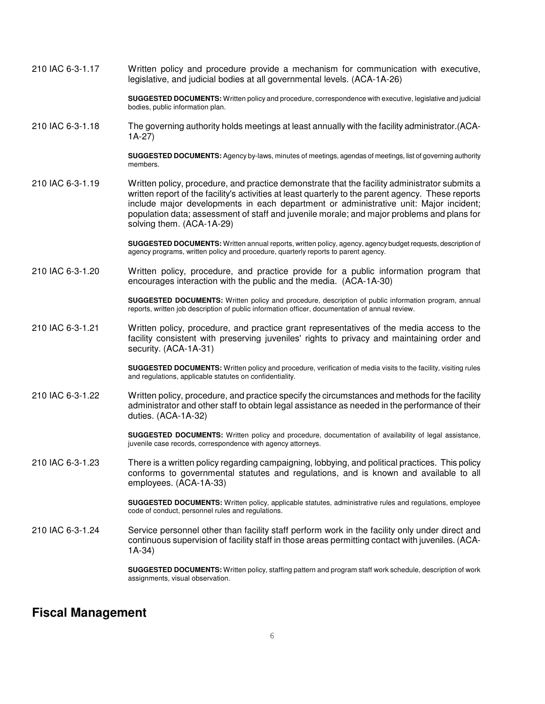210 IAC 6-3-1.17 Written policy and procedure provide a mechanism for communication with executive, legislative, and judicial bodies at all governmental levels. (ACA-1A-26)

> **SUGGESTED DOCUMENTS:** Written policy and procedure, correspondence with executive, legislative and judicial bodies, public information plan.

210 IAC 6-3-1.18 The governing authority holds meetings at least annually with the facility administrator.(ACA-1A-27)

> **SUGGESTED DOCUMENTS:** Agency by-laws, minutes of meetings, agendas of meetings, list of governing authority members.

210 IAC 6-3-1.19 Written policy, procedure, and practice demonstrate that the facility administrator submits a written report of the facility's activities at least quarterly to the parent agency. These reports include major developments in each department or administrative unit: Major incident; population data; assessment of staff and juvenile morale; and major problems and plans for solving them. (ACA-1A-29)

> **SUGGESTED DOCUMENTS:** Written annual reports, written policy, agency, agency budget requests, description of agency programs, written policy and procedure, quarterly reports to parent agency.

210 IAC 6-3-1.20 Written policy, procedure, and practice provide for a public information program that encourages interaction with the public and the media. (ACA-1A-30)

> **SUGGESTED DOCUMENTS:** Written policy and procedure, description of public information program, annual reports, written job description of public information officer, documentation of annual review.

210 IAC 6-3-1.21 Written policy, procedure, and practice grant representatives of the media access to the facility consistent with preserving juveniles' rights to privacy and maintaining order and security. (ACA-1A-31)

> **SUGGESTED DOCUMENTS:** Written policy and procedure, verification of media visits to the facility, visiting rules and regulations, applicable statutes on confidentiality.

210 IAC 6-3-1.22 Written policy, procedure, and practice specify the circumstances and methods for the facility administrator and other staff to obtain legal assistance as needed in the performance of their duties. (ACA-1A-32)

> **SUGGESTED DOCUMENTS:** Written policy and procedure, documentation of availability of legal assistance, juvenile case records, correspondence with agency attorneys.

210 IAC 6-3-1.23 There is a written policy regarding campaigning, lobbying, and political practices. This policy conforms to governmental statutes and regulations, and is known and available to all employees. (ACA-1A-33)

> **SUGGESTED DOCUMENTS:** Written policy, applicable statutes, administrative rules and regulations, employee code of conduct, personnel rules and regulations.

210 IAC 6-3-1.24 Service personnel other than facility staff perform work in the facility only under direct and continuous supervision of facility staff in those areas permitting contact with juveniles. (ACA-1A-34)

> **SUGGESTED DOCUMENTS:** Written policy, staffing pattern and program staff work schedule, description of work assignments, visual observation.

## **Fiscal Management**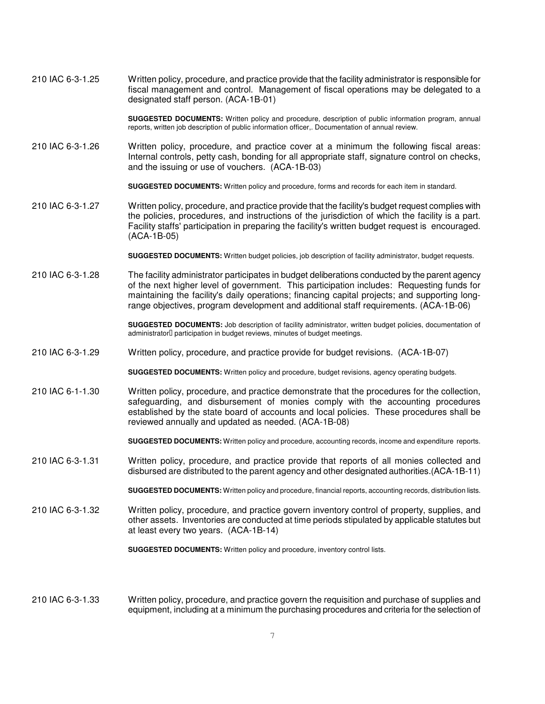210 IAC 6-3-1.25 Written policy, procedure, and practice provide that the facility administrator is responsible for fiscal management and control. Management of fiscal operations may be delegated to a designated staff person. (ACA-1B-01)

> **SUGGESTED DOCUMENTS:** Written policy and procedure, description of public information program, annual reports, written job description of public information officer,. Documentation of annual review.

210 IAC 6-3-1.26 Written policy, procedure, and practice cover at a minimum the following fiscal areas: Internal controls, petty cash, bonding for all appropriate staff, signature control on checks, and the issuing or use of vouchers. (ACA-1B-03)

**SUGGESTED DOCUMENTS:** Written policy and procedure, forms and records for each item in standard.

210 IAC 6-3-1.27 Written policy, procedure, and practice provide that the facility's budget request complies with the policies, procedures, and instructions of the jurisdiction of which the facility is a part. Facility staffs' participation in preparing the facility's written budget request is encouraged. (ACA-1B-05)

**SUGGESTED DOCUMENTS:** Written budget policies, job description of facility administrator, budget requests.

210 IAC 6-3-1.28 The facility administrator participates in budget deliberations conducted by the parent agency of the next higher level of government. This participation includes: Requesting funds for maintaining the facility's daily operations; financing capital projects; and supporting longrange objectives, program development and additional staff requirements. (ACA-1B-06)

> **SUGGESTED DOCUMENTS:** Job description of facility administrator, written budget policies, documentation of administrator participation in budget reviews, minutes of budget meetings.

210 IAC 6-3-1.29 Written policy, procedure, and practice provide for budget revisions. (ACA-1B-07)

**SUGGESTED DOCUMENTS:** Written policy and procedure, budget revisions, agency operating budgets.

210 IAC 6-1-1.30 Written policy, procedure, and practice demonstrate that the procedures for the collection, safeguarding, and disbursement of monies comply with the accounting procedures established by the state board of accounts and local policies. These procedures shall be reviewed annually and updated as needed. (ACA-1B-08)

**SUGGESTED DOCUMENTS:** Written policy and procedure, accounting records, income and expenditure reports.

210 IAC 6-3-1.31 Written policy, procedure, and practice provide that reports of all monies collected and disbursed are distributed to the parent agency and other designated authorities.(ACA-1B-11)

**SUGGESTED DOCUMENTS:** Written policy and procedure, financial reports, accounting records, distribution lists.

210 IAC 6-3-1.32 Written policy, procedure, and practice govern inventory control of property, supplies, and other assets. Inventories are conducted at time periods stipulated by applicable statutes but at least every two years. (ACA-1B-14)

**SUGGESTED DOCUMENTS:** Written policy and procedure, inventory control lists.

210 IAC 6-3-1.33 Written policy, procedure, and practice govern the requisition and purchase of supplies and equipment, including at a minimum the purchasing procedures and criteria for the selection of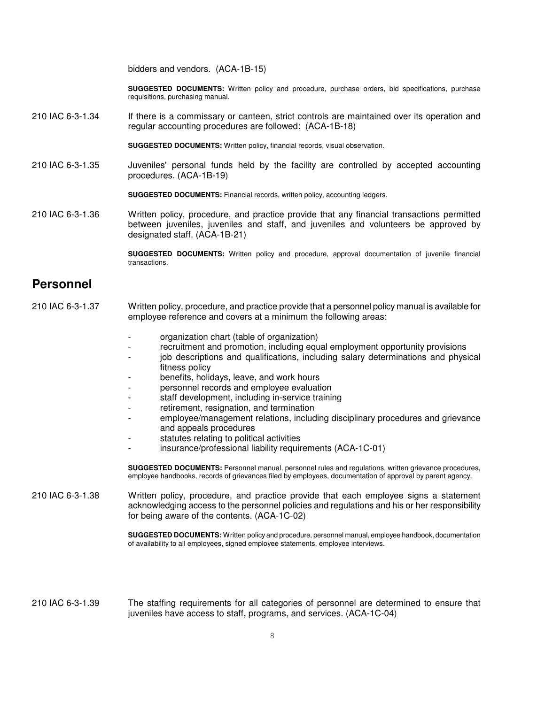bidders and vendors. (ACA-1B-15)

**SUGGESTED DOCUMENTS:** Written policy and procedure, purchase orders, bid specifications, purchase requisitions, purchasing manual.

210 IAC 6-3-1.34 If there is a commissary or canteen, strict controls are maintained over its operation and regular accounting procedures are followed: (ACA-1B-18)

**SUGGESTED DOCUMENTS:** Written policy, financial records, visual observation.

210 IAC 6-3-1.35 Juveniles' personal funds held by the facility are controlled by accepted accounting procedures. (ACA-1B-19)

**SUGGESTED DOCUMENTS:** Financial records, written policy, accounting ledgers.

210 IAC 6-3-1.36 Written policy, procedure, and practice provide that any financial transactions permitted between juveniles, juveniles and staff, and juveniles and volunteers be approved by designated staff. (ACA-1B-21)

> **SUGGESTED DOCUMENTS:** Written policy and procedure, approval documentation of juvenile financial transactions.

## **Personnel**

- 210 IAC 6-3-1.37 Written policy, procedure, and practice provide that a personnel policy manual is available for employee reference and covers at a minimum the following areas:
	- organization chart (table of organization)
	- recruitment and promotion, including equal employment opportunity provisions
	- iob descriptions and qualifications, including salary determinations and physical fitness policy
	- benefits, holidays, leave, and work hours
	- personnel records and employee evaluation
	- staff development, including in-service training
	- retirement, resignation, and termination
	- employee/management relations, including disciplinary procedures and grievance and appeals procedures
	- statutes relating to political activities
	- insurance/professional liability requirements (ACA-1C-01)

**SUGGESTED DOCUMENTS:** Personnel manual, personnel rules and regulations, written grievance procedures, employee handbooks, records of grievances filed by employees, documentation of approval by parent agency.

210 IAC 6-3-1.38 Written policy, procedure, and practice provide that each employee signs a statement acknowledging access to the personnel policies and regulations and his or her responsibility for being aware of the contents. (ACA-1C-02)

> **SUGGESTED DOCUMENTS:** Written policy and procedure, personnel manual, employee handbook, documentation of availability to all employees, signed employee statements, employee interviews.

210 IAC 6-3-1.39 The staffing requirements for all categories of personnel are determined to ensure that juveniles have access to staff, programs, and services. (ACA-1C-04)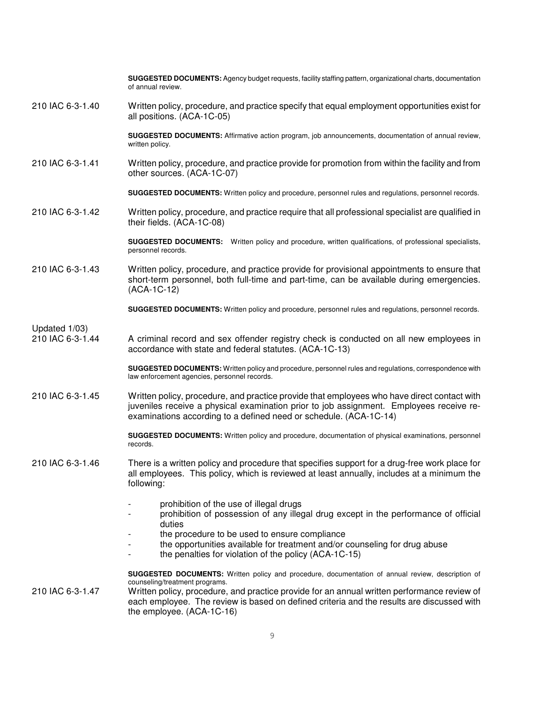|                                   | SUGGESTED DOCUMENTS: Agency budget requests, facility staffing pattern, organizational charts, documentation<br>of annual review.                                                                                                                                                                                                                            |
|-----------------------------------|--------------------------------------------------------------------------------------------------------------------------------------------------------------------------------------------------------------------------------------------------------------------------------------------------------------------------------------------------------------|
| 210 IAC 6-3-1.40                  | Written policy, procedure, and practice specify that equal employment opportunities exist for<br>all positions. (ACA-1C-05)                                                                                                                                                                                                                                  |
|                                   | SUGGESTED DOCUMENTS: Affirmative action program, job announcements, documentation of annual review,<br>written policy.                                                                                                                                                                                                                                       |
| 210 IAC 6-3-1.41                  | Written policy, procedure, and practice provide for promotion from within the facility and from<br>other sources. (ACA-1C-07)                                                                                                                                                                                                                                |
|                                   | SUGGESTED DOCUMENTS: Written policy and procedure, personnel rules and regulations, personnel records.                                                                                                                                                                                                                                                       |
| 210 IAC 6-3-1.42                  | Written policy, procedure, and practice require that all professional specialist are qualified in<br>their fields. (ACA-1C-08)                                                                                                                                                                                                                               |
|                                   | <b>SUGGESTED DOCUMENTS:</b> Written policy and procedure, written qualifications, of professional specialists,<br>personnel records.                                                                                                                                                                                                                         |
| 210 IAC 6-3-1.43                  | Written policy, procedure, and practice provide for provisional appointments to ensure that<br>short-term personnel, both full-time and part-time, can be available during emergencies.<br>(ACA-1C-12)                                                                                                                                                       |
|                                   | SUGGESTED DOCUMENTS: Written policy and procedure, personnel rules and regulations, personnel records.                                                                                                                                                                                                                                                       |
| Updated 1/03)<br>210 IAC 6-3-1.44 | A criminal record and sex offender registry check is conducted on all new employees in<br>accordance with state and federal statutes. (ACA-1C-13)                                                                                                                                                                                                            |
|                                   | SUGGESTED DOCUMENTS: Written policy and procedure, personnel rules and regulations, correspondence with<br>law enforcement agencies, personnel records.                                                                                                                                                                                                      |
| 210 IAC 6-3-1.45                  | Written policy, procedure, and practice provide that employees who have direct contact with<br>juveniles receive a physical examination prior to job assignment. Employees receive re-<br>examinations according to a defined need or schedule. (ACA-1C-14)                                                                                                  |
|                                   | <b>SUGGESTED DOCUMENTS:</b> Written policy and procedure, documentation of physical examinations, personnel<br>records.                                                                                                                                                                                                                                      |
| 210 IAC 6-3-1.46                  | There is a written policy and procedure that specifies support for a drug-free work place for<br>all employees. This policy, which is reviewed at least annually, includes at a minimum the<br>following:                                                                                                                                                    |
|                                   | prohibition of the use of illegal drugs<br>prohibition of possession of any illegal drug except in the performance of official<br>duties<br>the procedure to be used to ensure compliance                                                                                                                                                                    |
|                                   | the opportunities available for treatment and/or counseling for drug abuse<br>the penalties for violation of the policy (ACA-1C-15)                                                                                                                                                                                                                          |
| 210 IAC 6-3-1.47                  | SUGGESTED DOCUMENTS: Written policy and procedure, documentation of annual review, description of<br>counseling/treatment programs.<br>Written policy, procedure, and practice provide for an annual written performance review of<br>each employee. The review is based on defined criteria and the results are discussed with<br>the employee. (ACA-1C-16) |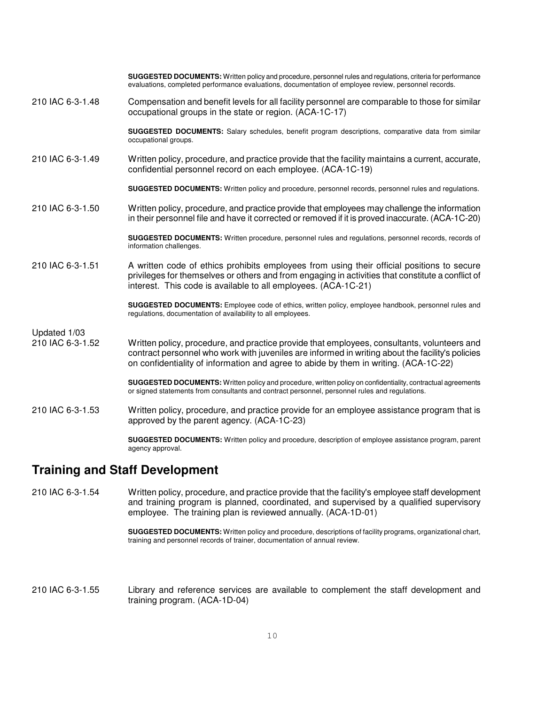|                  | SUGGESTED DOCUMENTS: Written policy and procedure, personnel rules and regulations, criteria for performance<br>evaluations, completed performance evaluations, documentation of employee review, personnel records.                                                                    |
|------------------|-----------------------------------------------------------------------------------------------------------------------------------------------------------------------------------------------------------------------------------------------------------------------------------------|
| 210 IAC 6-3-1.48 | Compensation and benefit levels for all facility personnel are comparable to those for similar<br>occupational groups in the state or region. (ACA-1C-17)                                                                                                                               |
|                  | <b>SUGGESTED DOCUMENTS:</b> Salary schedules, benefit program descriptions, comparative data from similar<br>occupational groups.                                                                                                                                                       |
| 210 IAC 6-3-1.49 | Written policy, procedure, and practice provide that the facility maintains a current, accurate,<br>confidential personnel record on each employee. (ACA-1C-19)                                                                                                                         |
|                  | SUGGESTED DOCUMENTS: Written policy and procedure, personnel records, personnel rules and regulations.                                                                                                                                                                                  |
| 210 IAC 6-3-1.50 | Written policy, procedure, and practice provide that employees may challenge the information<br>in their personnel file and have it corrected or removed if it is proved inaccurate. (ACA-1C-20)                                                                                        |
|                  | SUGGESTED DOCUMENTS: Written procedure, personnel rules and regulations, personnel records, records of<br>information challenges.                                                                                                                                                       |
| 210 IAC 6-3-1.51 | A written code of ethics prohibits employees from using their official positions to secure<br>privileges for themselves or others and from engaging in activities that constitute a conflict of<br>interest. This code is available to all employees. (ACA-1C-21)                       |
|                  | SUGGESTED DOCUMENTS: Employee code of ethics, written policy, employee handbook, personnel rules and<br>regulations, documentation of availability to all employees.                                                                                                                    |
| Updated 1/03     |                                                                                                                                                                                                                                                                                         |
| 210 IAC 6-3-1.52 | Written policy, procedure, and practice provide that employees, consultants, volunteers and<br>contract personnel who work with juveniles are informed in writing about the facility's policies<br>on confidentiality of information and agree to abide by them in writing. (ACA-1C-22) |
|                  | SUGGESTED DOCUMENTS: Written policy and procedure, written policy on confidentiality, contractual agreements<br>or signed statements from consultants and contract personnel, personnel rules and regulations.                                                                          |
| 210 IAC 6-3-1.53 | Written policy, procedure, and practice provide for an employee assistance program that is<br>approved by the parent agency. (ACA-1C-23)                                                                                                                                                |
|                  | SUGGESTED DOCUMENTS: Written policy and procedure, description of employee assistance program, parent<br>agency approval.                                                                                                                                                               |
|                  |                                                                                                                                                                                                                                                                                         |

## **Training and Staff Development**

210 IAC 6-3-1.54 Written policy, procedure, and practice provide that the facility's employee staff development and training program is planned, coordinated, and supervised by a qualified supervisory employee. The training plan is reviewed annually. (ACA-1D-01)

> **SUGGESTED DOCUMENTS:** Written policy and procedure, descriptions of facility programs, organizational chart, training and personnel records of trainer, documentation of annual review.

210 IAC 6-3-1.55 Library and reference services are available to complement the staff development and training program. (ACA-1D-04)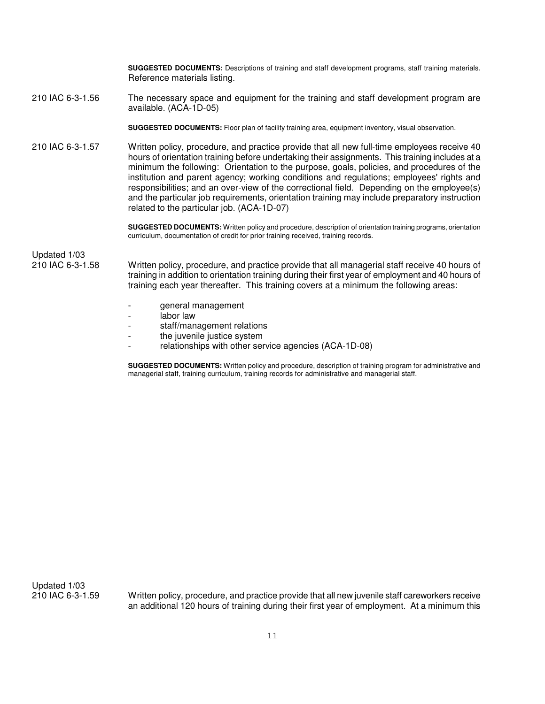**SUGGESTED DOCUMENTS:** Descriptions of training and staff development programs, staff training materials. Reference materials listing.

210 IAC 6-3-1.56 The necessary space and equipment for the training and staff development program are available. (ACA-1D-05)

**SUGGESTED DOCUMENTS:** Floor plan of facility training area, equipment inventory, visual observation.

210 IAC 6-3-1.57 Written policy, procedure, and practice provide that all new full-time employees receive 40 hours of orientation training before undertaking their assignments. This training includes at a minimum the following: Orientation to the purpose, goals, policies, and procedures of the institution and parent agency; working conditions and regulations; employees' rights and responsibilities; and an over-view of the correctional field. Depending on the employee(s) and the particular job requirements, orientation training may include preparatory instruction related to the particular job. (ACA-1D-07)

> **SUGGESTED DOCUMENTS:** Written policy and procedure, description of orientation training programs, orientation curriculum, documentation of credit for prior training received, training records.

Updated 1/03

210 IAC 6-3-1.58 Written policy, procedure, and practice provide that all managerial staff receive 40 hours of training in addition to orientation training during their first year of employment and 40 hours of training each year thereafter. This training covers at a minimum the following areas:

- general management
- labor law
- staff/management relations
- the juvenile justice system
- relationships with other service agencies (ACA-1D-08)

**SUGGESTED DOCUMENTS:** Written policy and procedure, description of training program for administrative and managerial staff, training curriculum, training records for administrative and managerial staff.

Updated 1/03<br>210 IAC 6-3-1.59

Written policy, procedure, and practice provide that all new juvenile staff careworkers receive an additional 120 hours of training during their first year of employment. At a minimum this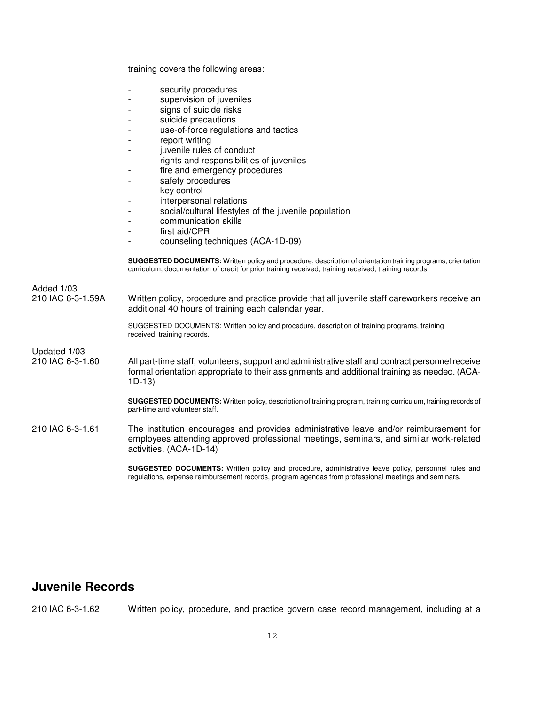training covers the following areas:

- security procedures
- supervision of juveniles
- signs of suicide risks
- suicide precautions
- use-of-force regulations and tactics
- report writing
- juvenile rules of conduct
- rights and responsibilities of juveniles
- fire and emergency procedures
- safety procedures
- key control
- interpersonal relations
- social/cultural lifestyles of the juvenile population
- communication skills
- first aid/CPR
- counseling techniques (ACA-1D-09)

**SUGGESTED DOCUMENTS:** Written policy and procedure, description of orientation training programs, orientation curriculum, documentation of credit for prior training received, training received, training records.

| Added 1/03<br>210 IAC 6-3-1.59A  | Written policy, procedure and practice provide that all juvenile staff careworkers receive an<br>additional 40 hours of training each calendar year.                                                        |
|----------------------------------|-------------------------------------------------------------------------------------------------------------------------------------------------------------------------------------------------------------|
|                                  | SUGGESTED DOCUMENTS: Written policy and procedure, description of training programs, training<br>received, training records.                                                                                |
| Updated 1/03<br>210 IAC 6-3-1.60 | All part-time staff, volunteers, support and administrative staff and contract personnel receive<br>formal orientation appropriate to their assignments and additional training as needed. (ACA-<br>$1D-13$ |
|                                  | <b>SUGGESTED DOCUMENTS:</b> Written policy, description of training program, training curriculum, training records of<br>part-time and volunteer staff.                                                     |
| 210 IAC 6-3-1.61                 | The institution encourages and provides administrative leave and/or reimbursement for<br>employees attending approved professional meetings, seminars, and similar work-related<br>activities. (ACA-1D-14)  |

**SUGGESTED DOCUMENTS:** Written policy and procedure, administrative leave policy, personnel rules and regulations, expense reimbursement records, program agendas from professional meetings and seminars.

## **Juvenile Records**

210 IAC 6-3-1.62 Written policy, procedure, and practice govern case record management, including at a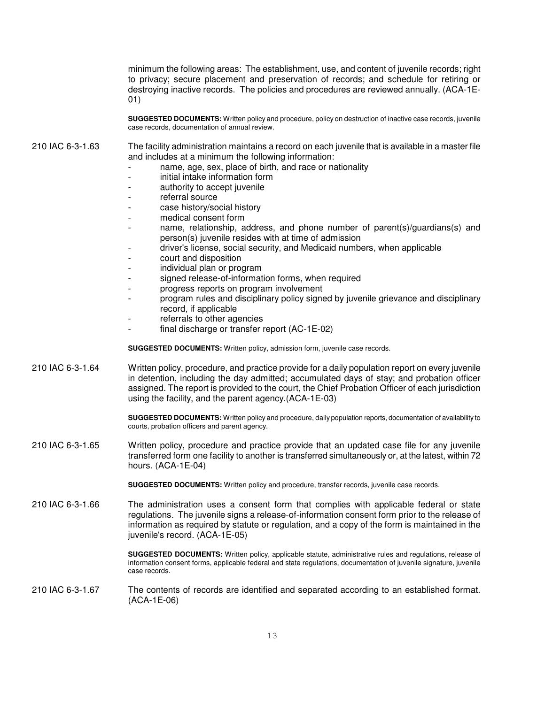minimum the following areas: The establishment, use, and content of juvenile records; right to privacy; secure placement and preservation of records; and schedule for retiring or destroying inactive records. The policies and procedures are reviewed annually. (ACA-1E-01)

**SUGGESTED DOCUMENTS:** Written policy and procedure, policy on destruction of inactive case records, juvenile case records, documentation of annual review.

210 IAC 6-3-1.63 The facility administration maintains a record on each juvenile that is available in a master file and includes at a minimum the following information:

- name, age, sex, place of birth, and race or nationality
- initial intake information form
- authority to accept juvenile
- referral source
- case history/social history
- medical consent form
- name, relationship, address, and phone number of parent(s)/guardians(s) and person(s) juvenile resides with at time of admission
- driver's license, social security, and Medicaid numbers, when applicable
- court and disposition
- individual plan or program
- signed release-of-information forms, when required
- progress reports on program involvement
- program rules and disciplinary policy signed by juvenile grievance and disciplinary record, if applicable
- referrals to other agencies
- final discharge or transfer report (AC-1E-02)

**SUGGESTED DOCUMENTS:** Written policy, admission form, juvenile case records.

210 IAC 6-3-1.64 Written policy, procedure, and practice provide for a daily population report on every juvenile in detention, including the day admitted; accumulated days of stay; and probation officer assigned. The report is provided to the court, the Chief Probation Officer of each jurisdiction using the facility, and the parent agency.(ACA-1E-03)

> **SUGGESTED DOCUMENTS:** Written policy and procedure, daily population reports, documentation of availability to courts, probation officers and parent agency.

210 IAC 6-3-1.65 Written policy, procedure and practice provide that an updated case file for any juvenile transferred form one facility to another is transferred simultaneously or, at the latest, within 72 hours. (ACA-1E-04)

**SUGGESTED DOCUMENTS:** Written policy and procedure, transfer records, juvenile case records.

210 IAC 6-3-1.66 The administration uses a consent form that complies with applicable federal or state regulations. The juvenile signs a release-of-information consent form prior to the release of information as required by statute or regulation, and a copy of the form is maintained in the juvenile's record. (ACA-1E-05)

> **SUGGESTED DOCUMENTS:** Written policy, applicable statute, administrative rules and regulations, release of information consent forms, applicable federal and state regulations, documentation of juvenile signature, juvenile case records.

#### 210 IAC 6-3-1.67 The contents of records are identified and separated according to an established format. (ACA-1E-06)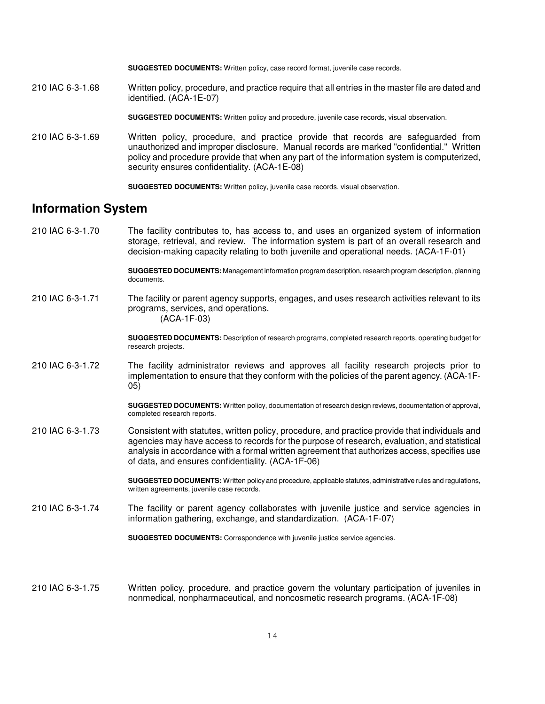**SUGGESTED DOCUMENTS:** Written policy, case record format, juvenile case records.

210 IAC 6-3-1.68 Written policy, procedure, and practice require that all entries in the master file are dated and identified. (ACA-1E-07)

**SUGGESTED DOCUMENTS:** Written policy and procedure, juvenile case records, visual observation.

210 IAC 6-3-1.69 Written policy, procedure, and practice provide that records are safeguarded from unauthorized and improper disclosure. Manual records are marked "confidential." Written policy and procedure provide that when any part of the information system is computerized, security ensures confidentiality. (ACA-1E-08)

**SUGGESTED DOCUMENTS:** Written policy, juvenile case records, visual observation.

## **Information System**

210 IAC 6-3-1.70 The facility contributes to, has access to, and uses an organized system of information storage, retrieval, and review. The information system is part of an overall research and decision-making capacity relating to both juvenile and operational needs. (ACA-1F-01)

> **SUGGESTED DOCUMENTS:** Management information program description, research program description, planning documents.

210 IAC 6-3-1.71 The facility or parent agency supports, engages, and uses research activities relevant to its programs, services, and operations. (ACA-1F-03)

> **SUGGESTED DOCUMENTS:** Description of research programs, completed research reports, operating budget for research projects.

210 IAC 6-3-1.72 The facility administrator reviews and approves all facility research projects prior to implementation to ensure that they conform with the policies of the parent agency. (ACA-1F-05)

> **SUGGESTED DOCUMENTS:** Written policy, documentation of research design reviews, documentation of approval, completed research reports.

210 IAC 6-3-1.73 Consistent with statutes, written policy, procedure, and practice provide that individuals and agencies may have access to records for the purpose of research, evaluation, and statistical analysis in accordance with a formal written agreement that authorizes access, specifies use of data, and ensures confidentiality. (ACA-1F-06)

> **SUGGESTED DOCUMENTS:** Written policy and procedure, applicable statutes, administrative rules and regulations, written agreements, juvenile case records.

210 IAC 6-3-1.74 The facility or parent agency collaborates with juvenile justice and service agencies in information gathering, exchange, and standardization. (ACA-1F-07)

**SUGGESTED DOCUMENTS:** Correspondence with juvenile justice service agencies.

210 IAC 6-3-1.75 Written policy, procedure, and practice govern the voluntary participation of juveniles in nonmedical, nonpharmaceutical, and noncosmetic research programs. (ACA-1F-08)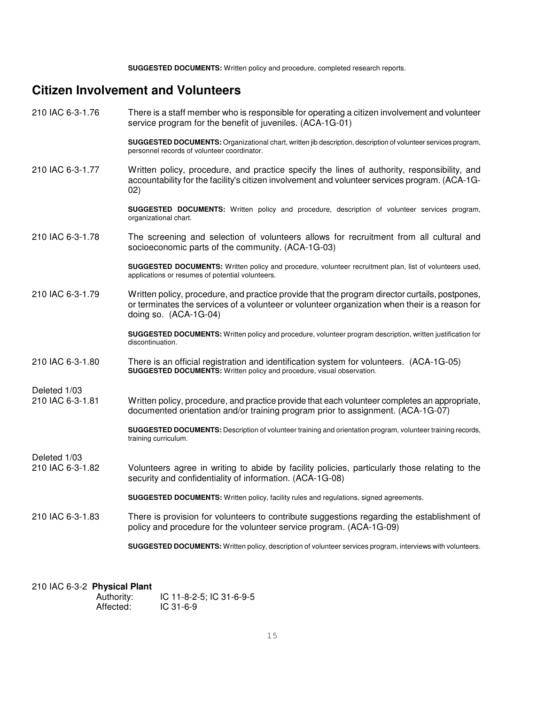**SUGGESTED DOCUMENTS:** Written policy and procedure, completed research reports.

## **Citizen Involvement and Volunteers**

210 IAC 6-3-1.76 There is a staff member who is responsible for operating a citizen involvement and volunteer service program for the benefit of juveniles. (ACA-1G-01)

**SUGGESTED DOCUMENTS:** Organizational chart, written jib description, description of volunteer services program, personnel records of volunteer coordinator.

210 IAC 6-3-1.77 Written policy, procedure, and practice specify the lines of authority, responsibility, and accountability for the facility's citizen involvement and volunteer services program. (ACA-1G-02)

> **SUGGESTED DOCUMENTS:** Written policy and procedure, description of volunteer services program, organizational chart.

210 IAC 6-3-1.78 The screening and selection of volunteers allows for recruitment from all cultural and socioeconomic parts of the community. (ACA-1G-03)

> **SUGGESTED DOCUMENTS:** Written policy and procedure, volunteer recruitment plan, list of volunteers used, applications or resumes of potential volunteers.

210 IAC 6-3-1.79 Written policy, procedure, and practice provide that the program director curtails, postpones, or terminates the services of a volunteer or volunteer organization when their is a reason for doing so. (ACA-1G-04)

> **SUGGESTED DOCUMENTS:** Written policy and procedure, volunteer program description, written justification for discontinuation.

210 IAC 6-3-1.80 There is an official registration and identification system for volunteers. (ACA-1G-05) **SUGGESTED DOCUMENTS:** Written policy and procedure, visual observation.

Deleted 1/03

Deleted 1/03<br>210 IAC 6-3-1.81 Written policy, procedure, and practice provide that each volunteer completes an appropriate, documented orientation and/or training program prior to assignment. (ACA-1G-07)

> **SUGGESTED DOCUMENTS:** Description of volunteer training and orientation program, volunteer training records, training curriculum.

- 210 IAC 6-3-1.82 Volunteers agree in writing to abide by facility policies, particularly those relating to the security and confidentiality of information. (ACA-1G-08)
	- **SUGGESTED DOCUMENTS:** Written policy, facility rules and regulations, signed agreements.
- 210 IAC 6-3-1.83 There is provision for volunteers to contribute suggestions regarding the establishment of policy and procedure for the volunteer service program. (ACA-1G-09)

**SUGGESTED DOCUMENTS:** Written policy, description of volunteer services program, interviews with volunteers.

#### 210 IAC 6-3-2 **Physical Plant**

| Authority: | IC 11-8-2-5; IC 31-6-9-5 |
|------------|--------------------------|
| Affected:  | $IC$ 31-6-9              |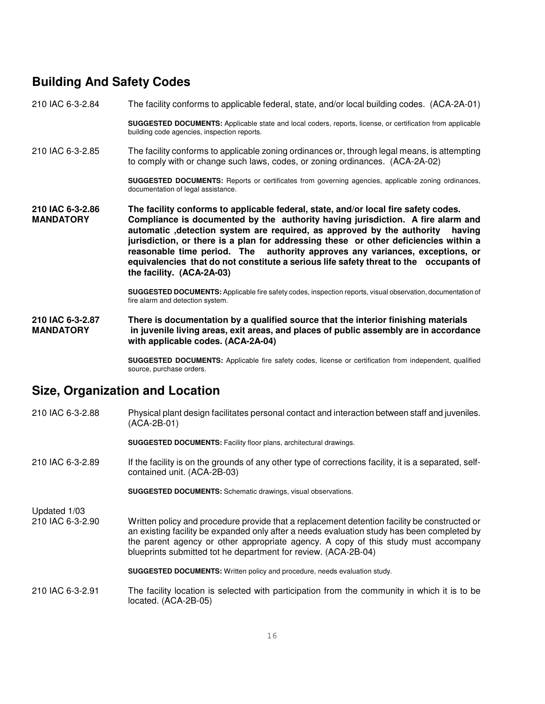## **Building And Safety Codes**

210 IAC 6-3-2.84 The facility conforms to applicable federal, state, and/or local building codes. (ACA-2A-01)

**SUGGESTED DOCUMENTS:** Applicable state and local coders, reports, license, or certification from applicable building code agencies, inspection reports.

210 IAC 6-3-2.85 The facility conforms to applicable zoning ordinances or, through legal means, is attempting to comply with or change such laws, codes, or zoning ordinances. (ACA-2A-02)

> **SUGGESTED DOCUMENTS:** Reports or certificates from governing agencies, applicable zoning ordinances, documentation of legal assistance.

**210 IAC 6-3-2.86 The facility conforms to applicable federal, state, and/or local fire safety codes.**  Compliance is documented by the authority having jurisdiction. A fire alarm and **automatic ,detection system are required, as approved by the authority having jurisdiction, or there is a plan for addressing these or other deficiencies within a reasonable time period. The authority approves any variances, exceptions, or equivalencies that do not constitute a serious life safety threat to the occupants of the facility. (ACA-2A-03)** 

> **SUGGESTED DOCUMENTS:** Applicable fire safety codes, inspection reports, visual observation, documentation of fire alarm and detection system.

**210 IAC 6-3-2.87 There is documentation by a qualified source that the interior finishing materials MANDATORY in juvenile living areas, exit areas, and places of public assembly are in accordance with applicable codes. (ACA-2A-04)**

> **SUGGESTED DOCUMENTS:** Applicable fire safety codes, license or certification from independent, qualified source, purchase orders.

## **Size, Organization and Location**

210 IAC 6-3-2.88 Physical plant design facilitates personal contact and interaction between staff and juveniles. (ACA-2B-01)

**SUGGESTED DOCUMENTS:** Facility floor plans, architectural drawings.

210 IAC 6-3-2.89 If the facility is on the grounds of any other type of corrections facility, it is a separated, selfcontained unit. (ACA-2B-03)

**SUGGESTED DOCUMENTS:** Schematic drawings, visual observations.

Updated 1/03

210 IAC 6-3-2.90 Written policy and procedure provide that a replacement detention facility be constructed or an existing facility be expanded only after a needs evaluation study has been completed by the parent agency or other appropriate agency. A copy of this study must accompany blueprints submitted tot he department for review. (ACA-2B-04)

**SUGGESTED DOCUMENTS:** Written policy and procedure, needs evaluation study.

210 IAC 6-3-2.91 The facility location is selected with participation from the community in which it is to be located. (ACA-2B-05)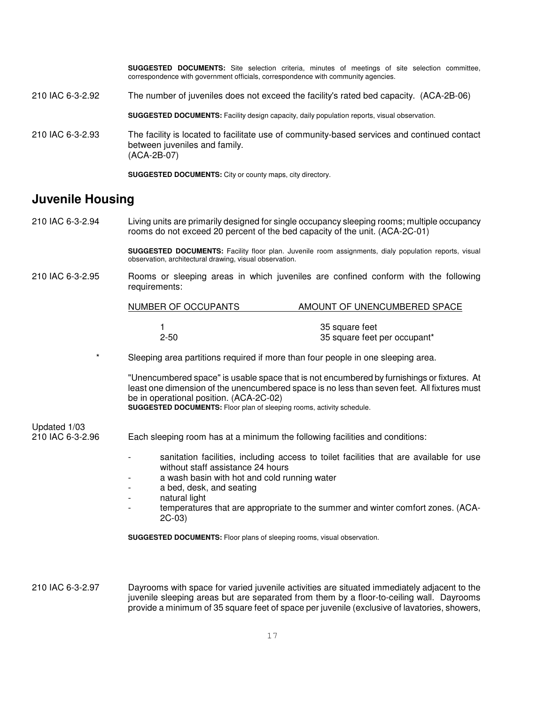**SUGGESTED DOCUMENTS:** Site selection criteria, minutes of meetings of site selection committee, correspondence with government officials, correspondence with community agencies.

210 IAC 6-3-2.92 The number of juveniles does not exceed the facility's rated bed capacity. (ACA-2B-06)

**SUGGESTED DOCUMENTS:** Facility design capacity, daily population reports, visual observation.

210 IAC 6-3-2.93 The facility is located to facilitate use of community-based services and continued contact between juveniles and family. (ACA-2B-07)

**SUGGESTED DOCUMENTS:** City or county maps, city directory.

## **Juvenile Housing**

210 IAC 6-3-2.94 Living units are primarily designed for single occupancy sleeping rooms; multiple occupancy rooms do not exceed 20 percent of the bed capacity of the unit. (ACA-2C-01)

> **SUGGESTED DOCUMENTS:** Facility floor plan. Juvenile room assignments, dialy population reports, visual observation, architectural drawing, visual observation.

210 IAC 6-3-2.95 Rooms or sleeping areas in which juveniles are confined conform with the following requirements:

| NUMBER OF OCCUPANTS | AMOUNT OF UNENCUMBERED SPACE                   |
|---------------------|------------------------------------------------|
| $2 - 50$            | 35 square feet<br>35 square feet per occupant* |

Sleeping area partitions required if more than four people in one sleeping area.

"Unencumbered space" is usable space that is not encumbered by furnishings or fixtures. At least one dimension of the unencumbered space is no less than seven feet. All fixtures must be in operational position. (ACA-2C-02) **SUGGESTED DOCUMENTS:** Floor plan of sleeping rooms, activity schedule.

# Updated 1/03

210 IAC 6-3-2.96 Each sleeping room has at a minimum the following facilities and conditions:

- sanitation facilities, including access to toilet facilities that are available for use without staff assistance 24 hours
- a wash basin with hot and cold running water
- a bed, desk, and seating
- natural light
- temperatures that are appropriate to the summer and winter comfort zones. (ACA-2C-03)

**SUGGESTED DOCUMENTS:** Floor plans of sleeping rooms, visual observation.

210 IAC 6-3-2.97 Dayrooms with space for varied juvenile activities are situated immediately adjacent to the juvenile sleeping areas but are separated from them by a floor-to-ceiling wall. Dayrooms provide a minimum of 35 square feet of space per juvenile (exclusive of lavatories, showers,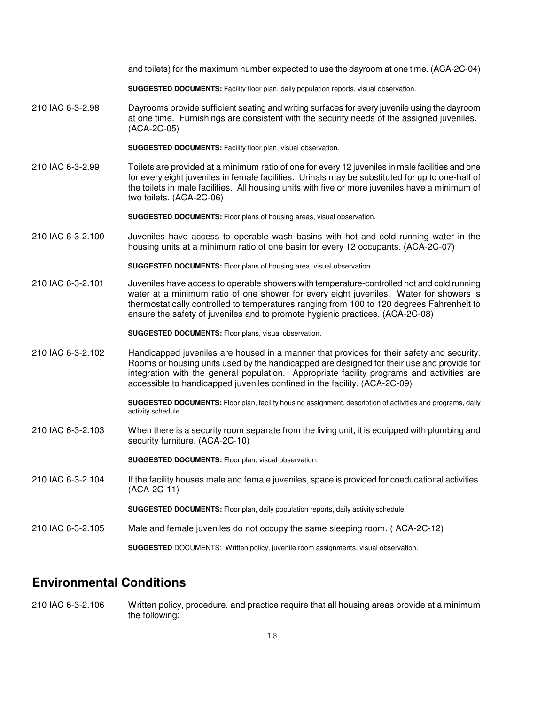|                   | and toilets) for the maximum number expected to use the dayroom at one time. (ACA-2C-04)                                                                                                                                                                                                                                                                           |
|-------------------|--------------------------------------------------------------------------------------------------------------------------------------------------------------------------------------------------------------------------------------------------------------------------------------------------------------------------------------------------------------------|
|                   | SUGGESTED DOCUMENTS: Facility floor plan, daily population reports, visual observation.                                                                                                                                                                                                                                                                            |
| 210 IAC 6-3-2.98  | Dayrooms provide sufficient seating and writing surfaces for every juvenile using the dayroom<br>at one time. Furnishings are consistent with the security needs of the assigned juveniles.<br>(ACA-2C-05)                                                                                                                                                         |
|                   | SUGGESTED DOCUMENTS: Facility floor plan, visual observation.                                                                                                                                                                                                                                                                                                      |
| 210 IAC 6-3-2.99  | Toilets are provided at a minimum ratio of one for every 12 juveniles in male facilities and one<br>for every eight juveniles in female facilities. Urinals may be substituted for up to one-half of<br>the toilets in male facilities. All housing units with five or more juveniles have a minimum of<br>two toilets. (ACA-2C-06)                                |
|                   | <b>SUGGESTED DOCUMENTS:</b> Floor plans of housing areas, visual observation.                                                                                                                                                                                                                                                                                      |
| 210 IAC 6-3-2.100 | Juveniles have access to operable wash basins with hot and cold running water in the<br>housing units at a minimum ratio of one basin for every 12 occupants. (ACA-2C-07)                                                                                                                                                                                          |
|                   | SUGGESTED DOCUMENTS: Floor plans of housing area, visual observation.                                                                                                                                                                                                                                                                                              |
| 210 IAC 6-3-2.101 | Juveniles have access to operable showers with temperature-controlled hot and cold running<br>water at a minimum ratio of one shower for every eight juveniles. Water for showers is<br>thermostatically controlled to temperatures ranging from 100 to 120 degrees Fahrenheit to<br>ensure the safety of juveniles and to promote hygienic practices. (ACA-2C-08) |
|                   | SUGGESTED DOCUMENTS: Floor plans, visual observation.                                                                                                                                                                                                                                                                                                              |
| 210 IAC 6-3-2.102 | Handicapped juveniles are housed in a manner that provides for their safety and security.<br>Rooms or housing units used by the handicapped are designed for their use and provide for<br>integration with the general population. Appropriate facility programs and activities are<br>accessible to handicapped juveniles confined in the facility. (ACA-2C-09)   |
|                   | SUGGESTED DOCUMENTS: Floor plan, facility housing assignment, description of activities and programs, daily<br>activity schedule.                                                                                                                                                                                                                                  |
| 210 IAC 6-3-2.103 | When there is a security room separate from the living unit, it is equipped with plumbing and<br>security furniture. (ACA-2C-10)                                                                                                                                                                                                                                   |
|                   | SUGGESTED DOCUMENTS: Floor plan, visual observation.                                                                                                                                                                                                                                                                                                               |
| 210 IAC 6-3-2.104 | If the facility houses male and female juveniles, space is provided for coeducational activities.<br>(ACA-2C-11)                                                                                                                                                                                                                                                   |
|                   | SUGGESTED DOCUMENTS: Floor plan, daily population reports, daily activity schedule.                                                                                                                                                                                                                                                                                |
| 210 IAC 6-3-2.105 | Male and female juveniles do not occupy the same sleeping room. (ACA-2C-12)                                                                                                                                                                                                                                                                                        |
|                   | SUGGESTED DOCUMENTS: Written policy, juvenile room assignments, visual observation.                                                                                                                                                                                                                                                                                |

## **Environmental Conditions**

210 IAC 6-3-2.106 Written policy, procedure, and practice require that all housing areas provide at a minimum the following: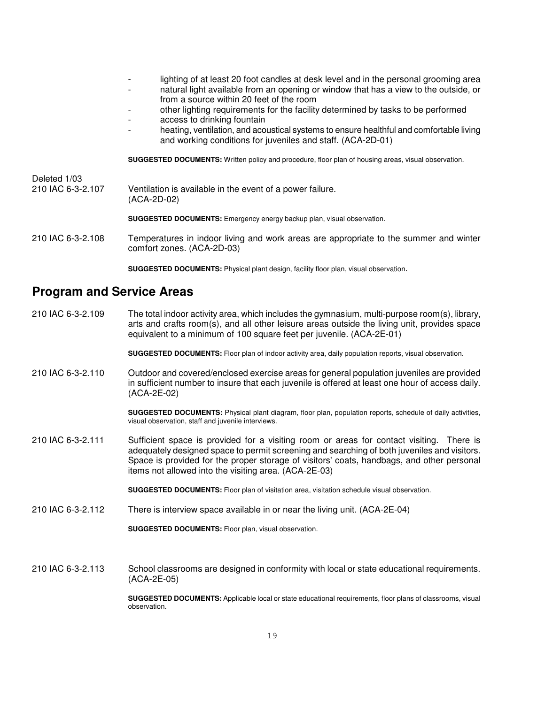- lighting of at least 20 foot candles at desk level and in the personal grooming area
	- natural light available from an opening or window that has a view to the outside, or from a source within 20 feet of the room
- other lighting requirements for the facility determined by tasks to be performed
- access to drinking fountain
- heating, ventilation, and acoustical systems to ensure healthful and comfortable living and working conditions for juveniles and staff. (ACA-2D-01)

**SUGGESTED DOCUMENTS:** Written policy and procedure, floor plan of housing areas, visual observation.

Deleted 1/03<br>210 IAC 6-3-2.107 Ventilation is available in the event of a power failure. (ACA-2D-02)

**SUGGESTED DOCUMENTS:** Emergency energy backup plan, visual observation.

210 IAC 6-3-2.108 Temperatures in indoor living and work areas are appropriate to the summer and winter comfort zones. (ACA-2D-03)

**SUGGESTED DOCUMENTS:** Physical plant design, facility floor plan, visual observation.

## **Program and Service Areas**

210 IAC 6-3-2.109 The total indoor activity area, which includes the gymnasium, multi-purpose room(s), library, arts and crafts room(s), and all other leisure areas outside the living unit, provides space equivalent to a minimum of 100 square feet per juvenile. (ACA-2E-01)

**SUGGESTED DOCUMENTS:** Floor plan of indoor activity area, daily population reports, visual observation.

210 IAC 6-3-2.110 Outdoor and covered/enclosed exercise areas for general population juveniles are provided in sufficient number to insure that each juvenile is offered at least one hour of access daily. (ACA-2E-02)

> **SUGGESTED DOCUMENTS:** Physical plant diagram, floor plan, population reports, schedule of daily activities, visual observation, staff and juvenile interviews.

210 IAC 6-3-2.111 Sufficient space is provided for a visiting room or areas for contact visiting. There is adequately designed space to permit screening and searching of both juveniles and visitors. Space is provided for the proper storage of visitors' coats, handbags, and other personal items not allowed into the visiting area. (ACA-2E-03)

**SUGGESTED DOCUMENTS:** Floor plan of visitation area, visitation schedule visual observation.

210 IAC 6-3-2.112 There is interview space available in or near the living unit. (ACA-2E-04)

**SUGGESTED DOCUMENTS:** Floor plan, visual observation.

210 IAC 6-3-2.113 School classrooms are designed in conformity with local or state educational requirements. (ACA-2E-05)

> **SUGGESTED DOCUMENTS:** Applicable local or state educational requirements, floor plans of classrooms, visual observation.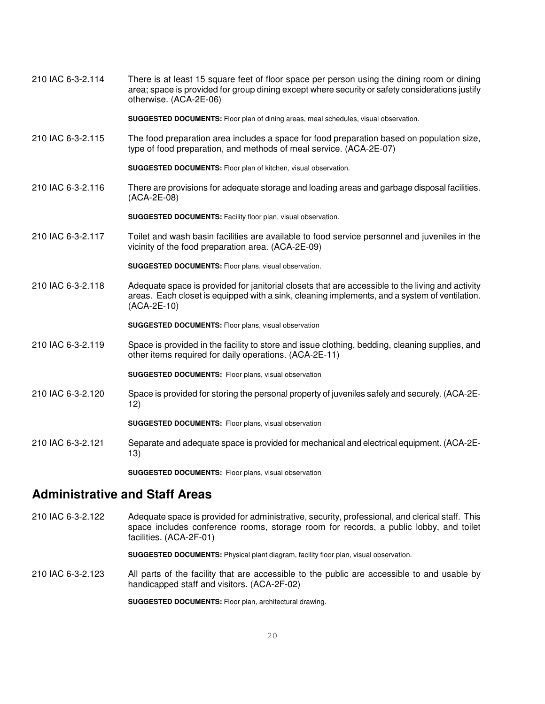210 IAC 6-3-2.114 There is at least 15 square feet of floor space per person using the dining room or dining area; space is provided for group dining except where security or safety considerations justify otherwise. (ACA-2E-06)

**SUGGESTED DOCUMENTS:** Floor plan of dining areas, meal schedules, visual observation.

210 IAC 6-3-2.115 The food preparation area includes a space for food preparation based on population size, type of food preparation, and methods of meal service. (ACA-2E-07)

**SUGGESTED DOCUMENTS:** Floor plan of kitchen, visual observation.

210 IAC 6-3-2.116 There are provisions for adequate storage and loading areas and garbage disposal facilities. (ACA-2E-08)

**SUGGESTED DOCUMENTS:** Facility floor plan, visual observation.

210 IAC 6-3-2.117 Toilet and wash basin facilities are available to food service personnel and juveniles in the vicinity of the food preparation area. (ACA-2E-09)

**SUGGESTED DOCUMENTS:** Floor plans, visual observation.

210 IAC 6-3-2.118 Adequate space is provided for janitorial closets that are accessible to the living and activity areas. Each closet is equipped with a sink, cleaning implements, and a system of ventilation. (ACA-2E-10)

**SUGGESTED DOCUMENTS:** Floor plans, visual observation

210 IAC 6-3-2.119 Space is provided in the facility to store and issue clothing, bedding, cleaning supplies, and other items required for daily operations. (ACA-2E-11)

**SUGGESTED DOCUMENTS:** Floor plans, visual observation

210 IAC 6-3-2.120 Space is provided for storing the personal property of juveniles safely and securely. (ACA-2E-12)

**SUGGESTED DOCUMENTS:** Floor plans, visual observation

210 IAC 6-3-2.121 Separate and adequate space is provided for mechanical and electrical equipment. (ACA-2E-13)

**SUGGESTED DOCUMENTS:** Floor plans, visual observation

## **Administrative and Staff Areas**

210 IAC 6-3-2.122 Adequate space is provided for administrative, security, professional, and clerical staff. This space includes conference rooms, storage room for records, a public lobby, and toilet facilities. (ACA-2F-01)

**SUGGESTED DOCUMENTS:** Physical plant diagram, facility floor plan, visual observation.

210 IAC 6-3-2.123 All parts of the facility that are accessible to the public are accessible to and usable by handicapped staff and visitors. (ACA-2F-02)

**SUGGESTED DOCUMENTS:** Floor plan, architectural drawing.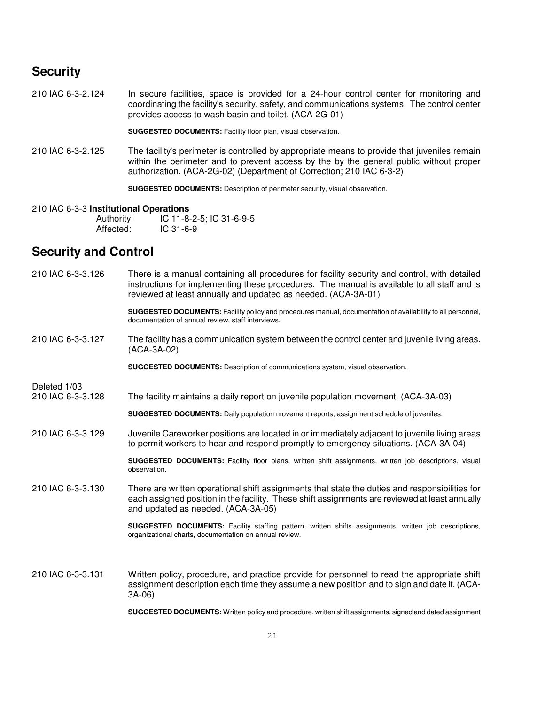## **Security**

210 IAC 6-3-2.124 In secure facilities, space is provided for a 24-hour control center for monitoring and coordinating the facility's security, safety, and communications systems. The control center provides access to wash basin and toilet. (ACA-2G-01)

**SUGGESTED DOCUMENTS:** Facility floor plan, visual observation.

210 IAC 6-3-2.125 The facility's perimeter is controlled by appropriate means to provide that juveniles remain within the perimeter and to prevent access by the by the general public without proper authorization. (ACA-2G-02) (Department of Correction; 210 IAC 6-3-2)

**SUGGESTED DOCUMENTS:** Description of perimeter security, visual observation.

#### 210 IAC 6-3-3 **Institutional Operations**

| Authority: | IC 11-8-2-5; IC 31-6-9-5 |
|------------|--------------------------|
| Affected:  | $IC$ 31-6-9              |

## **Security and Control**

- 210 IAC 6-3-3.126 There is a manual containing all procedures for facility security and control, with detailed instructions for implementing these procedures. The manual is available to all staff and is reviewed at least annually and updated as needed. (ACA-3A-01)
	- **SUGGESTED DOCUMENTS:** Facility policy and procedures manual, documentation of availability to all personnel, documentation of annual review, staff interviews.
- 210 IAC 6-3-3.127 The facility has a communication system between the control center and juvenile living areas. (ACA-3A-02)

**SUGGESTED DOCUMENTS:** Description of communications system, visual observation.

- Deleted 1/03
- 210 IAC 6-3-3.128 The facility maintains a daily report on juvenile population movement. (ACA-3A-03)

**SUGGESTED DOCUMENTS:** Daily population movement reports, assignment schedule of juveniles.

210 IAC 6-3-3.129 Juvenile Careworker positions are located in or immediately adjacent to juvenile living areas to permit workers to hear and respond promptly to emergency situations. (ACA-3A-04)

> **SUGGESTED DOCUMENTS:** Facility floor plans, written shift assignments, written job descriptions, visual observation.

210 IAC 6-3-3.130 There are written operational shift assignments that state the duties and responsibilities for each assigned position in the facility. These shift assignments are reviewed at least annually and updated as needed. (ACA-3A-05)

> **SUGGESTED DOCUMENTS:** Facility staffing pattern, written shifts assignments, written job descriptions, organizational charts, documentation on annual review.

210 IAC 6-3-3.131 Written policy, procedure, and practice provide for personnel to read the appropriate shift assignment description each time they assume a new position and to sign and date it. (ACA-3A-06)

**SUGGESTED DOCUMENTS:** Written policy and procedure, written shift assignments, signed and dated assignment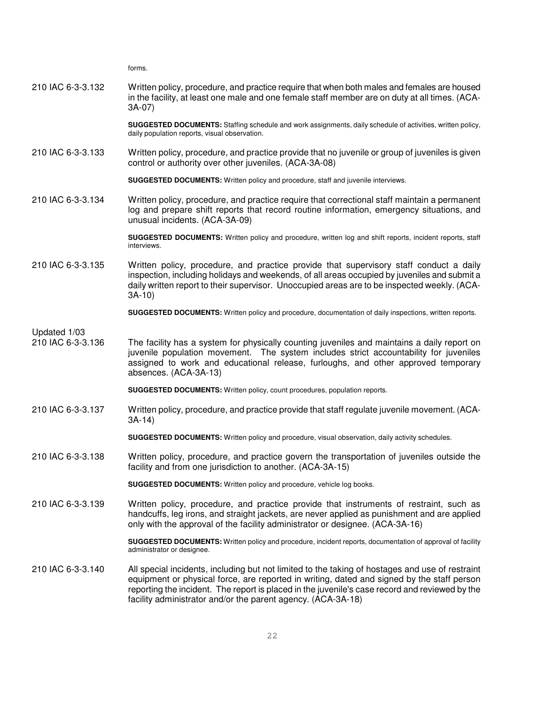forms. 210 IAC 6-3-3.132 Written policy, procedure, and practice require that when both males and females are housed in the facility, at least one male and one female staff member are on duty at all times. (ACA-3A-07) **SUGGESTED DOCUMENTS:** Staffing schedule and work assignments, daily schedule of activities, written policy, daily population reports, visual observation. 210 IAC 6-3-3.133 Written policy, procedure, and practice provide that no juvenile or group of juveniles is given control or authority over other juveniles. (ACA-3A-08) **SUGGESTED DOCUMENTS:** Written policy and procedure, staff and juvenile interviews. 210 IAC 6-3-3.134 Written policy, procedure, and practice require that correctional staff maintain a permanent log and prepare shift reports that record routine information, emergency situations, and unusual incidents. (ACA-3A-09) **SUGGESTED DOCUMENTS:** Written policy and procedure, written log and shift reports, incident reports, staff interviews. 210 IAC 6-3-3.135 Written policy, procedure, and practice provide that supervisory staff conduct a daily inspection, including holidays and weekends, of all areas occupied by juveniles and submit a daily written report to their supervisor. Unoccupied areas are to be inspected weekly. (ACA-3A-10) **SUGGESTED DOCUMENTS:** Written policy and procedure, documentation of daily inspections, written reports. Updated 1/03<br>210 IAC 6-3-3.136 The facility has a system for physically counting juveniles and maintains a daily report on juvenile population movement. The system includes strict accountability for juveniles assigned to work and educational release, furloughs, and other approved temporary absences. (ACA-3A-13) **SUGGESTED DOCUMENTS:** Written policy, count procedures, population reports. 210 IAC 6-3-3.137 Written policy, procedure, and practice provide that staff regulate juvenile movement. (ACA-3A-14) **SUGGESTED DOCUMENTS:** Written policy and procedure, visual observation, daily activity schedules. 210 IAC 6-3-3.138 Written policy, procedure, and practice govern the transportation of juveniles outside the facility and from one jurisdiction to another. (ACA-3A-15) **SUGGESTED DOCUMENTS:** Written policy and procedure, vehicle log books. 210 IAC 6-3-3.139 Written policy, procedure, and practice provide that instruments of restraint, such as handcuffs, leg irons, and straight jackets, are never applied as punishment and are applied only with the approval of the facility administrator or designee. (ACA-3A-16) **SUGGESTED DOCUMENTS:** Written policy and procedure, incident reports, documentation of approval of facility administrator or designee. 210 IAC 6-3-3.140 All special incidents, including but not limited to the taking of hostages and use of restraint equipment or physical force, are reported in writing, dated and signed by the staff person reporting the incident. The report is placed in the juvenile's case record and reviewed by the facility administrator and/or the parent agency. (ACA-3A-18)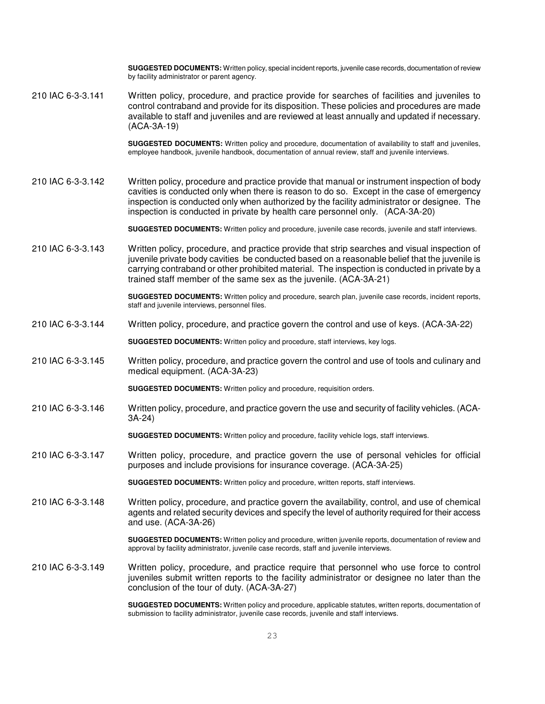**SUGGESTED DOCUMENTS:** Written policy, special incident reports, juvenile case records, documentation of review by facility administrator or parent agency.

210 IAC 6-3-3.141 Written policy, procedure, and practice provide for searches of facilities and juveniles to control contraband and provide for its disposition. These policies and procedures are made available to staff and juveniles and are reviewed at least annually and updated if necessary. (ACA-3A-19)

> **SUGGESTED DOCUMENTS:** Written policy and procedure, documentation of availability to staff and juveniles, employee handbook, juvenile handbook, documentation of annual review, staff and juvenile interviews.

210 IAC 6-3-3.142 Written policy, procedure and practice provide that manual or instrument inspection of body cavities is conducted only when there is reason to do so. Except in the case of emergency inspection is conducted only when authorized by the facility administrator or designee. The inspection is conducted in private by health care personnel only. (ACA-3A-20)

**SUGGESTED DOCUMENTS:** Written policy and procedure, juvenile case records, juvenile and staff interviews.

210 IAC 6-3-3.143 Written policy, procedure, and practice provide that strip searches and visual inspection of juvenile private body cavities be conducted based on a reasonable belief that the juvenile is carrying contraband or other prohibited material. The inspection is conducted in private by a trained staff member of the same sex as the juvenile. (ACA-3A-21)

> **SUGGESTED DOCUMENTS:** Written policy and procedure, search plan, juvenile case records, incident reports, staff and juvenile interviews, personnel files.

210 IAC 6-3-3.144 Written policy, procedure, and practice govern the control and use of keys. (ACA-3A-22)

**SUGGESTED DOCUMENTS:** Written policy and procedure, staff interviews, key logs.

- 210 IAC 6-3-3.145 Written policy, procedure, and practice govern the control and use of tools and culinary and medical equipment. (ACA-3A-23)
	- **SUGGESTED DOCUMENTS:** Written policy and procedure, requisition orders.
- 210 IAC 6-3-3.146 Written policy, procedure, and practice govern the use and security of facility vehicles. (ACA-3A-24)
	- **SUGGESTED DOCUMENTS:** Written policy and procedure, facility vehicle logs, staff interviews.
- 210 IAC 6-3-3.147 Written policy, procedure, and practice govern the use of personal vehicles for official purposes and include provisions for insurance coverage. (ACA-3A-25)
	- **SUGGESTED DOCUMENTS:** Written policy and procedure, written reports, staff interviews.
- 210 IAC 6-3-3.148 Written policy, procedure, and practice govern the availability, control, and use of chemical agents and related security devices and specify the level of authority required for their access and use. (ACA-3A-26)

**SUGGESTED DOCUMENTS:** Written policy and procedure, written juvenile reports, documentation of review and approval by facility administrator, juvenile case records, staff and juvenile interviews.

210 IAC 6-3-3.149 Written policy, procedure, and practice require that personnel who use force to control juveniles submit written reports to the facility administrator or designee no later than the conclusion of the tour of duty. (ACA-3A-27)

> **SUGGESTED DOCUMENTS:** Written policy and procedure, applicable statutes, written reports, documentation of submission to facility administrator, juvenile case records, juvenile and staff interviews.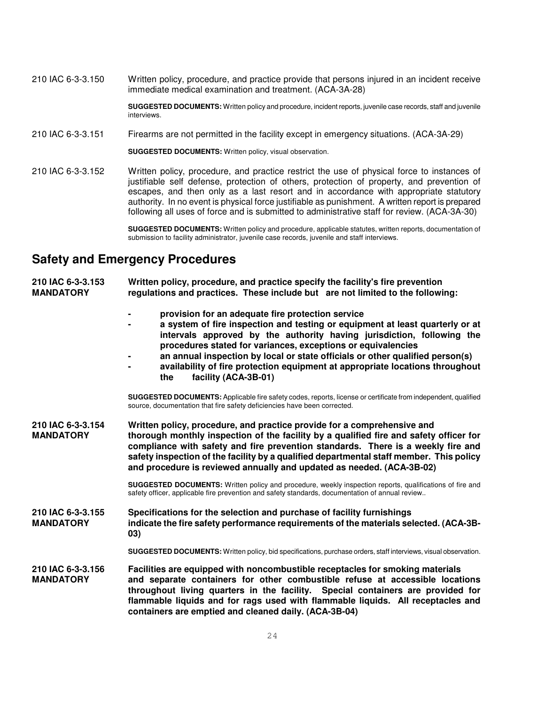210 IAC 6-3-3.150 Written policy, procedure, and practice provide that persons injured in an incident receive immediate medical examination and treatment. (ACA-3A-28)

> **SUGGESTED DOCUMENTS:** Written policy and procedure, incident reports, juvenile case records, staff and juvenile interviews.

210 IAC 6-3-3.151 Firearms are not permitted in the facility except in emergency situations. (ACA-3A-29)

**SUGGESTED DOCUMENTS:** Written policy, visual observation.

210 IAC 6-3-3.152 Written policy, procedure, and practice restrict the use of physical force to instances of justifiable self defense, protection of others, protection of property, and prevention of escapes, and then only as a last resort and in accordance with appropriate statutory authority. In no event is physical force justifiable as punishment. A written report is prepared following all uses of force and is submitted to administrative staff for review. (ACA-3A-30)

> **SUGGESTED DOCUMENTS:** Written policy and procedure, applicable statutes, written reports, documentation of submission to facility administrator, juvenile case records, juvenile and staff interviews.

## **Safety and Emergency Procedures**

| 210 IAC 6-3-3.153<br><b>MANDATORY</b> | Written policy, procedure, and practice specify the facility's fire prevention<br>regulations and practices. These include but are not limited to the following:                                                                                                                                                                                                                                                                                                              |
|---------------------------------------|-------------------------------------------------------------------------------------------------------------------------------------------------------------------------------------------------------------------------------------------------------------------------------------------------------------------------------------------------------------------------------------------------------------------------------------------------------------------------------|
|                                       | provision for an adequate fire protection service<br>a system of fire inspection and testing or equipment at least quarterly or at<br>intervals approved by the authority having jurisdiction, following the<br>procedures stated for variances, exceptions or equivalencies<br>an annual inspection by local or state officials or other qualified person(s)<br>availability of fire protection equipment at appropriate locations throughout<br>facility (ACA-3B-01)<br>the |
|                                       | <b>SUGGESTED DOCUMENTS:</b> Applicable fire safety codes, reports, license or certificate from independent, qualified<br>source, documentation that fire safety deficiencies have been corrected.                                                                                                                                                                                                                                                                             |
| 210 IAC 6-3-3.154<br><b>MANDATORY</b> | Written policy, procedure, and practice provide for a comprehensive and<br>thorough monthly inspection of the facility by a qualified fire and safety officer for<br>compliance with safety and fire prevention standards. There is a weekly fire and<br>safety inspection of the facility by a qualified departmental staff member. This policy<br>and procedure is reviewed annually and updated as needed. (ACA-3B-02)                                                     |
|                                       | SUGGESTED DOCUMENTS: Written policy and procedure, weekly inspection reports, qualifications of fire and<br>safety officer, applicable fire prevention and safety standards, documentation of annual review                                                                                                                                                                                                                                                                   |
| 210 IAC 6-3-3.155<br><b>MANDATORY</b> | Specifications for the selection and purchase of facility furnishings<br>indicate the fire safety performance requirements of the materials selected. (ACA-3B-<br>03)                                                                                                                                                                                                                                                                                                         |
|                                       | <b>SUGGESTED DOCUMENTS:</b> Written policy, bid specifications, purchase orders, staff interviews, visual observation.                                                                                                                                                                                                                                                                                                                                                        |
| 210 IAC 6-3-3.156<br><b>MANDATORY</b> | Facilities are equipped with noncombustible receptacles for smoking materials<br>and separate containers for other combustible refuse at accessible locations<br>throughout living quarters in the facility. Special containers are provided for<br>flammable liquids and for rags used with flammable liquids. All receptacles and                                                                                                                                           |

**containers are emptied and cleaned daily. (ACA-3B-04)**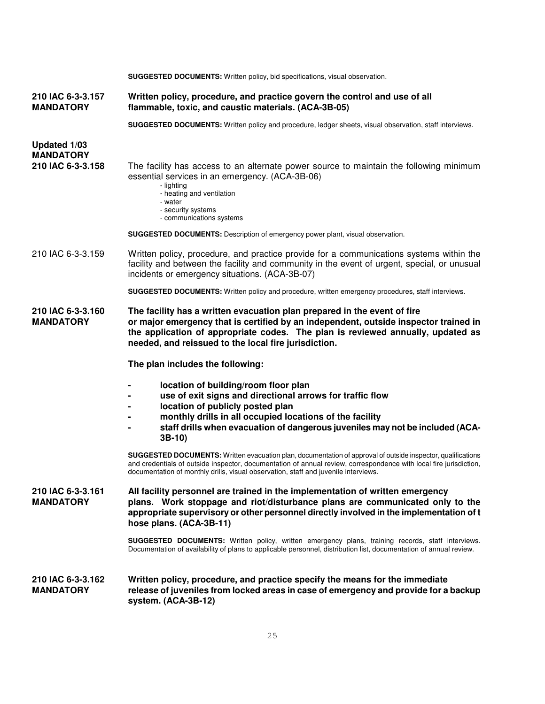|                                                       | SUGGESTED DOCUMENTS: Written policy, bid specifications, visual observation.                                                                                                                                                                                                                                                                                                                                                                                                                                                                                                                                               |  |
|-------------------------------------------------------|----------------------------------------------------------------------------------------------------------------------------------------------------------------------------------------------------------------------------------------------------------------------------------------------------------------------------------------------------------------------------------------------------------------------------------------------------------------------------------------------------------------------------------------------------------------------------------------------------------------------------|--|
| 210 IAC 6-3-3.157<br><b>MANDATORY</b>                 | Written policy, procedure, and practice govern the control and use of all<br>flammable, toxic, and caustic materials. (ACA-3B-05)                                                                                                                                                                                                                                                                                                                                                                                                                                                                                          |  |
|                                                       | SUGGESTED DOCUMENTS: Written policy and procedure, ledger sheets, visual observation, staff interviews.                                                                                                                                                                                                                                                                                                                                                                                                                                                                                                                    |  |
| Updated 1/03<br><b>MANDATORY</b><br>210 IAC 6-3-3.158 | The facility has access to an alternate power source to maintain the following minimum<br>essential services in an emergency. (ACA-3B-06)<br>- lighting<br>- heating and ventilation<br>- water<br>- security systems<br>- communications systems<br><b>SUGGESTED DOCUMENTS:</b> Description of emergency power plant, visual observation.                                                                                                                                                                                                                                                                                 |  |
| 210 IAC 6-3-3.159                                     | Written policy, procedure, and practice provide for a communications systems within the<br>facility and between the facility and community in the event of urgent, special, or unusual<br>incidents or emergency situations. (ACA-3B-07)                                                                                                                                                                                                                                                                                                                                                                                   |  |
|                                                       | SUGGESTED DOCUMENTS: Written policy and procedure, written emergency procedures, staff interviews.                                                                                                                                                                                                                                                                                                                                                                                                                                                                                                                         |  |
| 210 IAC 6-3-3.160<br><b>MANDATORY</b>                 | The facility has a written evacuation plan prepared in the event of fire<br>or major emergency that is certified by an independent, outside inspector trained in<br>the application of appropriate codes. The plan is reviewed annually, updated as<br>needed, and reissued to the local fire jurisdiction.                                                                                                                                                                                                                                                                                                                |  |
|                                                       | The plan includes the following:                                                                                                                                                                                                                                                                                                                                                                                                                                                                                                                                                                                           |  |
|                                                       | location of building/room floor plan<br>use of exit signs and directional arrows for traffic flow<br>location of publicly posted plan<br>monthly drills in all occupied locations of the facility<br>staff drills when evacuation of dangerous juveniles may not be included (ACA-<br>$3B-10$<br>SUGGESTED DOCUMENTS: Written evacuation plan, documentation of approval of outside inspector, qualifications<br>and credentials of outside inspector, documentation of annual review, correspondence with local fire iurisdiction.<br>documentation of monthly drills, visual observation, staff and juvenile interviews. |  |
| 210 IAC 6-3-3.161<br><b>MANDATORY</b>                 | All facility personnel are trained in the implementation of written emergency<br>plans. Work stoppage and riot/disturbance plans are communicated only to the<br>appropriate supervisory or other personnel directly involved in the implementation of t<br>hose plans. (ACA-3B-11)<br><b>SUGGESTED DOCUMENTS:</b> Written policy, written emergency plans, training records, staff interviews.<br>Documentation of availability of plans to applicable personnel, distribution list, documentation of annual review.                                                                                                      |  |
| 210 IAC 6-3-3.162<br><b>MANDATORY</b>                 | Written policy, procedure, and practice specify the means for the immediate<br>release of juveniles from locked areas in case of emergency and provide for a backup<br>system. (ACA-3B-12)                                                                                                                                                                                                                                                                                                                                                                                                                                 |  |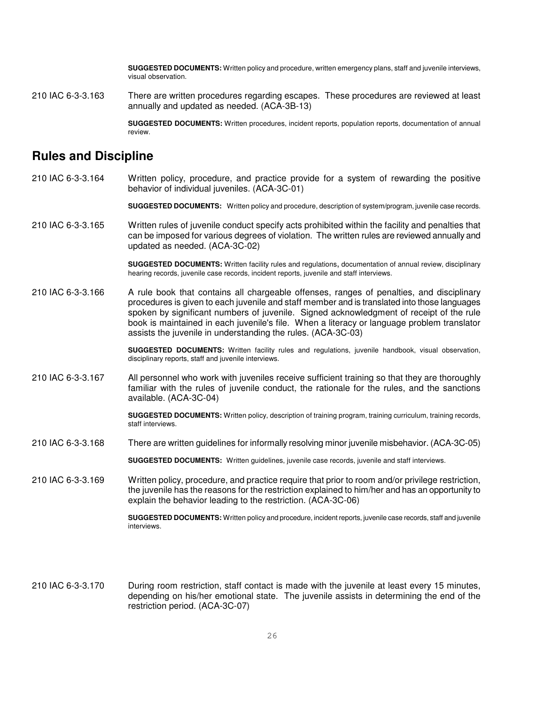**SUGGESTED DOCUMENTS:** Written policy and procedure, written emergency plans, staff and juvenile interviews, visual observation.

210 IAC 6-3-3.163 There are written procedures regarding escapes. These procedures are reviewed at least annually and updated as needed. (ACA-3B-13)

> **SUGGESTED DOCUMENTS:** Written procedures, incident reports, population reports, documentation of annual review.

## **Rules and Discipline**

210 IAC 6-3-3.164 Written policy, procedure, and practice provide for a system of rewarding the positive behavior of individual juveniles. (ACA-3C-01)

**SUGGESTED DOCUMENTS:** Written policy and procedure, description of system/program, juvenile case records.

210 IAC 6-3-3.165 Written rules of juvenile conduct specify acts prohibited within the facility and penalties that can be imposed for various degrees of violation. The written rules are reviewed annually and updated as needed. (ACA-3C-02)

> **SUGGESTED DOCUMENTS:** Written facility rules and regulations, documentation of annual review, disciplinary hearing records, juvenile case records, incident reports, juvenile and staff interviews.

210 IAC 6-3-3.166 A rule book that contains all chargeable offenses, ranges of penalties, and disciplinary procedures is given to each juvenile and staff member and is translated into those languages spoken by significant numbers of juvenile. Signed acknowledgment of receipt of the rule book is maintained in each juvenile's file. When a literacy or language problem translator assists the juvenile in understanding the rules. (ACA-3C-03)

> **SUGGESTED DOCUMENTS:** Written facility rules and regulations, juvenile handbook, visual observation, disciplinary reports, staff and juvenile interviews.

210 IAC 6-3-3.167 All personnel who work with juveniles receive sufficient training so that they are thoroughly familiar with the rules of juvenile conduct, the rationale for the rules, and the sanctions available. (ACA-3C-04)

> **SUGGESTED DOCUMENTS:** Written policy, description of training program, training curriculum, training records, staff interviews.

210 IAC 6-3-3.168 There are written guidelines for informally resolving minor juvenile misbehavior. (ACA-3C-05)

**SUGGESTED DOCUMENTS:** Written guidelines, juvenile case records, juvenile and staff interviews.

210 IAC 6-3-3.169 Written policy, procedure, and practice require that prior to room and/or privilege restriction, the juvenile has the reasons for the restriction explained to him/her and has an opportunity to explain the behavior leading to the restriction. (ACA-3C-06)

> **SUGGESTED DOCUMENTS:** Written policy and procedure, incident reports, juvenile case records, staff and juvenile interviews.

210 IAC 6-3-3.170 During room restriction, staff contact is made with the juvenile at least every 15 minutes, depending on his/her emotional state. The juvenile assists in determining the end of the restriction period. (ACA-3C-07)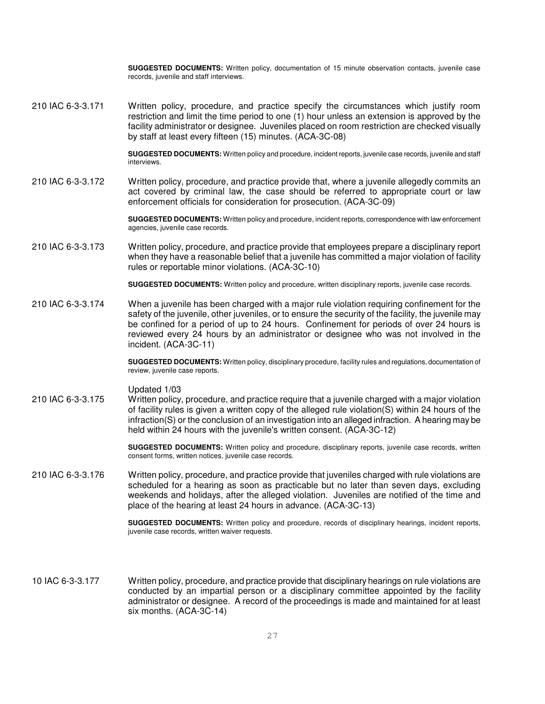**SUGGESTED DOCUMENTS:** Written policy, documentation of 15 minute observation contacts, juvenile case records, juvenile and staff interviews.

210 IAC 6-3-3.171 Written policy, procedure, and practice specify the circumstances which justify room restriction and limit the time period to one (1) hour unless an extension is approved by the facility administrator or designee. Juveniles placed on room restriction are checked visually by staff at least every fifteen (15) minutes. (ACA-3C-08)

> **SUGGESTED DOCUMENTS:** Written policy and procedure, incident reports, juvenile case records, juvenile and staff interviews.

210 IAC 6-3-3.172 Written policy, procedure, and practice provide that, where a juvenile allegedly commits an act covered by criminal law, the case should be referred to appropriate court or law enforcement officials for consideration for prosecution. (ACA-3C-09)

> **SUGGESTED DOCUMENTS:** Written policy and procedure, incident reports, correspondence with law enforcement agencies, juvenile case records.

210 IAC 6-3-3.173 Written policy, procedure, and practice provide that employees prepare a disciplinary report when they have a reasonable belief that a juvenile has committed a major violation of facility rules or reportable minor violations. (ACA-3C-10)

**SUGGESTED DOCUMENTS:** Written policy and procedure, written disciplinary reports, juvenile case records.

210 IAC 6-3-3.174 When a juvenile has been charged with a major rule violation requiring confinement for the safety of the juvenile, other juveniles, or to ensure the security of the facility, the juvenile may be confined for a period of up to 24 hours. Confinement for periods of over 24 hours is reviewed every 24 hours by an administrator or designee who was not involved in the incident. (ACA-3C-11)

> **SUGGESTED DOCUMENTS:** Written policy, disciplinary procedure, facility rules and regulations, documentation of review, juvenile case reports.

#### Updated 1/03

210 IAC 6-3-3.175 Written policy, procedure, and practice require that a juvenile charged with a major violation of facility rules is given a written copy of the alleged rule violation(S) within 24 hours of the infraction(S) or the conclusion of an investigation into an alleged infraction. A hearing may be held within 24 hours with the juvenile's written consent. (ACA-3C-12)

> **SUGGESTED DOCUMENTS:** Written policy and procedure, disciplinary reports, juvenile case records, written consent forms, written notices, juvenile case records.

210 IAC 6-3-3.176 Written policy, procedure, and practice provide that juveniles charged with rule violations are scheduled for a hearing as soon as practicable but no later than seven days, excluding weekends and holidays, after the alleged violation. Juveniles are notified of the time and place of the hearing at least 24 hours in advance. (ACA-3C-13)

> **SUGGESTED DOCUMENTS:** Written policy and procedure, records of disciplinary hearings, incident reports, juvenile case records, written waiver requests.

10 IAC 6-3-3.177 Written policy, procedure, and practice provide that disciplinary hearings on rule violations are conducted by an impartial person or a disciplinary committee appointed by the facility administrator or designee. A record of the proceedings is made and maintained for at least six months. (ACA-3C-14)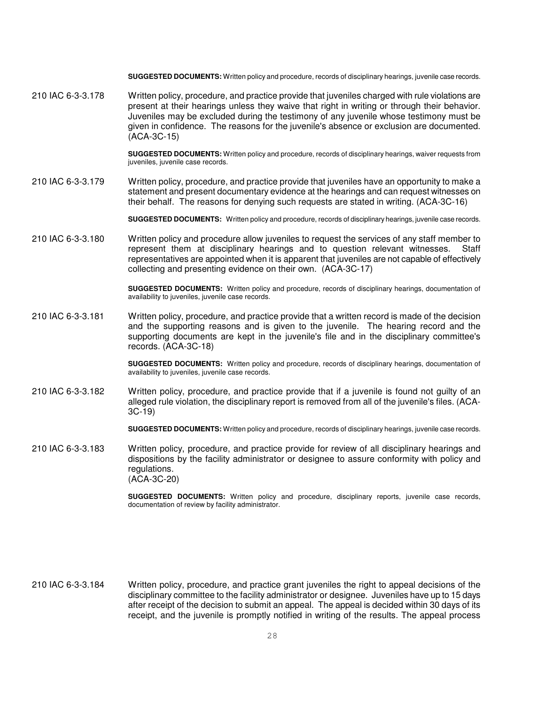**SUGGESTED DOCUMENTS:** Written policy and procedure, records of disciplinary hearings, juvenile case records.

210 IAC 6-3-3.178 Written policy, procedure, and practice provide that juveniles charged with rule violations are present at their hearings unless they waive that right in writing or through their behavior. Juveniles may be excluded during the testimony of any juvenile whose testimony must be given in confidence. The reasons for the juvenile's absence or exclusion are documented. (ACA-3C-15)

> **SUGGESTED DOCUMENTS:** Written policy and procedure, records of disciplinary hearings, waiver requests from juveniles, juvenile case records.

210 IAC 6-3-3.179 Written policy, procedure, and practice provide that juveniles have an opportunity to make a statement and present documentary evidence at the hearings and can request witnesses on their behalf. The reasons for denying such requests are stated in writing. (ACA-3C-16)

**SUGGESTED DOCUMENTS:** Written policy and procedure, records of disciplinary hearings, juvenile case records.

210 IAC 6-3-3.180 Written policy and procedure allow juveniles to request the services of any staff member to represent them at disciplinary hearings and to question relevant witnesses. Staff representatives are appointed when it is apparent that juveniles are not capable of effectively collecting and presenting evidence on their own. (ACA-3C-17)

> **SUGGESTED DOCUMENTS:** Written policy and procedure, records of disciplinary hearings, documentation of availability to juveniles, juvenile case records.

210 IAC 6-3-3.181 Written policy, procedure, and practice provide that a written record is made of the decision and the supporting reasons and is given to the juvenile. The hearing record and the supporting documents are kept in the juvenile's file and in the disciplinary committee's records. (ACA-3C-18)

> **SUGGESTED DOCUMENTS:** Written policy and procedure, records of disciplinary hearings, documentation of availability to juveniles, juvenile case records.

210 IAC 6-3-3.182 Written policy, procedure, and practice provide that if a juvenile is found not guilty of an alleged rule violation, the disciplinary report is removed from all of the juvenile's files. (ACA-3C-19)

**SUGGESTED DOCUMENTS:** Written policy and procedure, records of disciplinary hearings, juvenile case records.

210 IAC 6-3-3.183 Written policy, procedure, and practice provide for review of all disciplinary hearings and dispositions by the facility administrator or designee to assure conformity with policy and regulations. (ACA-3C-20)

> **SUGGESTED DOCUMENTS:** Written policy and procedure, disciplinary reports, juvenile case records, documentation of review by facility administrator.

210 IAC 6-3-3.184 Written policy, procedure, and practice grant juveniles the right to appeal decisions of the disciplinary committee to the facility administrator or designee. Juveniles have up to 15 days after receipt of the decision to submit an appeal. The appeal is decided within 30 days of its receipt, and the juvenile is promptly notified in writing of the results. The appeal process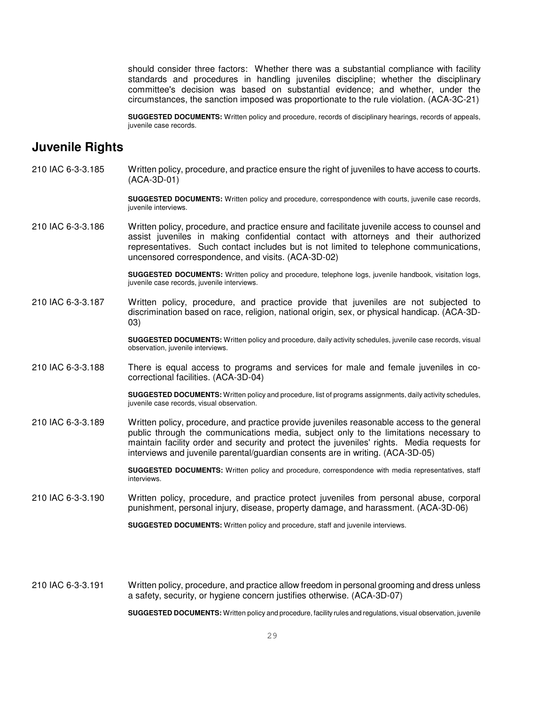should consider three factors: Whether there was a substantial compliance with facility standards and procedures in handling juveniles discipline; whether the disciplinary committee's decision was based on substantial evidence; and whether, under the circumstances, the sanction imposed was proportionate to the rule violation. (ACA-3C-21)

**SUGGESTED DOCUMENTS:** Written policy and procedure, records of disciplinary hearings, records of appeals, juvenile case records.

## **Juvenile Rights**

210 IAC 6-3-3.185 Written policy, procedure, and practice ensure the right of juveniles to have access to courts. (ACA-3D-01)

> **SUGGESTED DOCUMENTS:** Written policy and procedure, correspondence with courts, juvenile case records, juvenile interviews.

210 IAC 6-3-3.186 Written policy, procedure, and practice ensure and facilitate juvenile access to counsel and assist juveniles in making confidential contact with attorneys and their authorized representatives. Such contact includes but is not limited to telephone communications, uncensored correspondence, and visits. (ACA-3D-02)

> **SUGGESTED DOCUMENTS:** Written policy and procedure, telephone logs, juvenile handbook, visitation logs, juvenile case records, juvenile interviews.

210 IAC 6-3-3.187 Written policy, procedure, and practice provide that juveniles are not subjected to discrimination based on race, religion, national origin, sex, or physical handicap. (ACA-3D-03)

> **SUGGESTED DOCUMENTS:** Written policy and procedure, daily activity schedules, juvenile case records, visual observation, juvenile interviews.

210 IAC 6-3-3.188 There is equal access to programs and services for male and female juveniles in cocorrectional facilities. (ACA-3D-04)

> **SUGGESTED DOCUMENTS:** Written policy and procedure, list of programs assignments, daily activity schedules, juvenile case records, visual observation.

210 IAC 6-3-3.189 Written policy, procedure, and practice provide juveniles reasonable access to the general public through the communications media, subject only to the limitations necessary to maintain facility order and security and protect the juveniles' rights. Media requests for interviews and juvenile parental/guardian consents are in writing. (ACA-3D-05)

> **SUGGESTED DOCUMENTS:** Written policy and procedure, correspondence with media representatives, staff interviews.

210 IAC 6-3-3.190 Written policy, procedure, and practice protect juveniles from personal abuse, corporal punishment, personal injury, disease, property damage, and harassment. (ACA-3D-06)

**SUGGESTED DOCUMENTS:** Written policy and procedure, staff and juvenile interviews.

210 IAC 6-3-3.191 Written policy, procedure, and practice allow freedom in personal grooming and dress unless a safety, security, or hygiene concern justifies otherwise. (ACA-3D-07)

**SUGGESTED DOCUMENTS:** Written policy and procedure, facility rules and regulations, visual observation, juvenile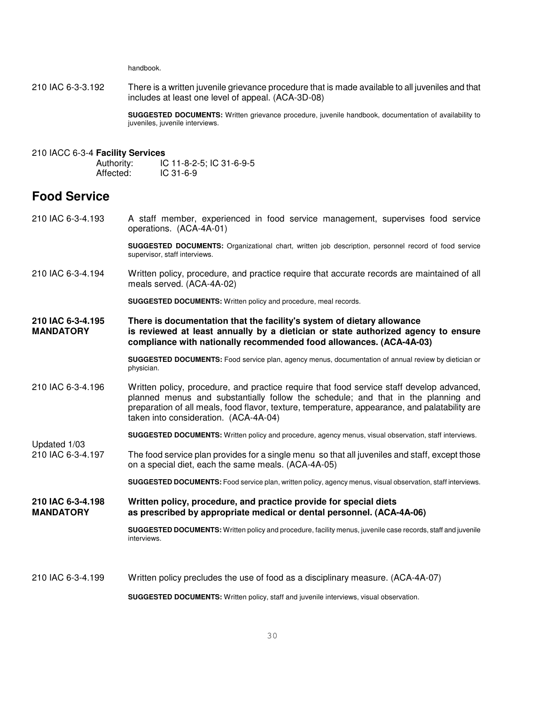handbook.

210 IAC 6-3-3.192 There is a written juvenile grievance procedure that is made available to all juveniles and that includes at least one level of appeal. (ACA-3D-08)

> **SUGGESTED DOCUMENTS:** Written grievance procedure, juvenile handbook, documentation of availability to juveniles, juvenile interviews.

#### 210 IACC 6-3-4 **Facility Services**

Authority: IC 11-8-2-5; IC 31-6-9-5 Affected: IC 31-6-9

## **Food Service**

210 IAC 6-3-4.193 A staff member, experienced in food service management, supervises food service operations. (ACA-4A-01)

> **SUGGESTED DOCUMENTS:** Organizational chart, written job description, personnel record of food service supervisor, staff interviews.

210 IAC 6-3-4.194 Written policy, procedure, and practice require that accurate records are maintained of all meals served. (ACA-4A-02)

**SUGGESTED DOCUMENTS:** Written policy and procedure, meal records.

**210 IAC 6-3-4.195 There is documentation that the facility's system of dietary allowance MANDATORY is reviewed at least annually by a dietician or state authorized agency to ensure compliance with nationally recommended food allowances. (ACA-4A-03)** 

> **SUGGESTED DOCUMENTS:** Food service plan, agency menus, documentation of annual review by dietician or physician.

210 IAC 6-3-4.196 Written policy, procedure, and practice require that food service staff develop advanced, planned menus and substantially follow the schedule; and that in the planning and preparation of all meals, food flavor, texture, temperature, appearance, and palatability are taken into consideration. (ACA-4A-04)

**SUGGESTED DOCUMENTS:** Written policy and procedure, agency menus, visual observation, staff interviews.

Updated 1/03<br>210 IAC 6-3-4.197 The food service plan provides for a single menu so that all juveniles and staff, except those on a special diet, each the same meals. (ACA-4A-05)

**SUGGESTED DOCUMENTS:** Food service plan, written policy, agency menus, visual observation, staff interviews.

**210 IAC 6-3-4.198 Written policy, procedure, and practice provide for special diets MANDATORY as prescribed by appropriate medical or dental personnel. (ACA-4A-06)** 

> **SUGGESTED DOCUMENTS:** Written policy and procedure, facility menus, juvenile case records, staff and juvenile interviews.

210 IAC 6-3-4.199 Written policy precludes the use of food as a disciplinary measure. (ACA-4A-07)

**SUGGESTED DOCUMENTS:** Written policy, staff and juvenile interviews, visual observation.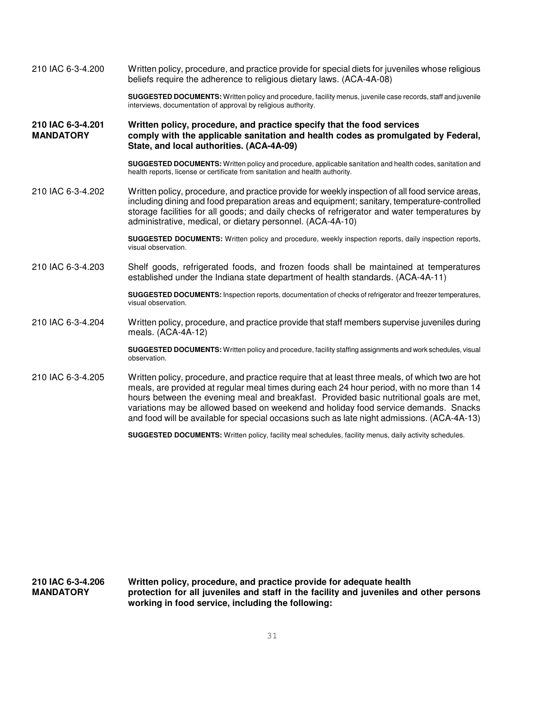210 IAC 6-3-4.200 Written policy, procedure, and practice provide for special diets for juveniles whose religious beliefs require the adherence to religious dietary laws. (ACA-4A-08) **SUGGESTED DOCUMENTS:** Written policy and procedure, facility menus, juvenile case records, staff and juvenile interviews, documentation of approval by religious authority. **210 IAC 6-3-4.201 Written policy, procedure, and practice specify that the food services**  comply with the applicable sanitation and health codes as promulgated by Federal, **State, and local authorities. (ACA-4A-09) SUGGESTED DOCUMENTS:** Written policy and procedure, applicable sanitation and health codes, sanitation and health reports, license or certificate from sanitation and health authority. 210 IAC 6-3-4.202 Written policy, procedure, and practice provide for weekly inspection of all food service areas, including dining and food preparation areas and equipment; sanitary, temperature-controlled storage facilities for all goods; and daily checks of refrigerator and water temperatures by administrative, medical, or dietary personnel. (ACA-4A-10) **SUGGESTED DOCUMENTS:** Written policy and procedure, weekly inspection reports, daily inspection reports, visual observation. 210 IAC 6-3-4.203 Shelf goods, refrigerated foods, and frozen foods shall be maintained at temperatures established under the Indiana state department of health standards. (ACA-4A-11) **SUGGESTED DOCUMENTS:** Inspection reports, documentation of checks of refrigerator and freezer temperatures, visual observation. 210 IAC 6-3-4.204 Written policy, procedure, and practice provide that staff members supervise juveniles during meals. (ACA-4A-12) **SUGGESTED DOCUMENTS:** Written policy and procedure, facility staffing assignments and work schedules, visual observation. 210 IAC 6-3-4.205 Written policy, procedure, and practice require that at least three meals, of which two are hot meals, are provided at regular meal times during each 24 hour period, with no more than 14 hours between the evening meal and breakfast. Provided basic nutritional goals are met, variations may be allowed based on weekend and holiday food service demands. Snacks and food will be available for special occasions such as late night admissions. (ACA-4A-13) **SUGGESTED DOCUMENTS:** Written policy, facility meal schedules, facility menus, daily activity schedules.

**210 IAC 6-3-4.206 Written policy, procedure, and practice provide for adequate health MANDATORY protection for all juveniles and staff in the facility and juveniles and other persons working in food service, including the following:**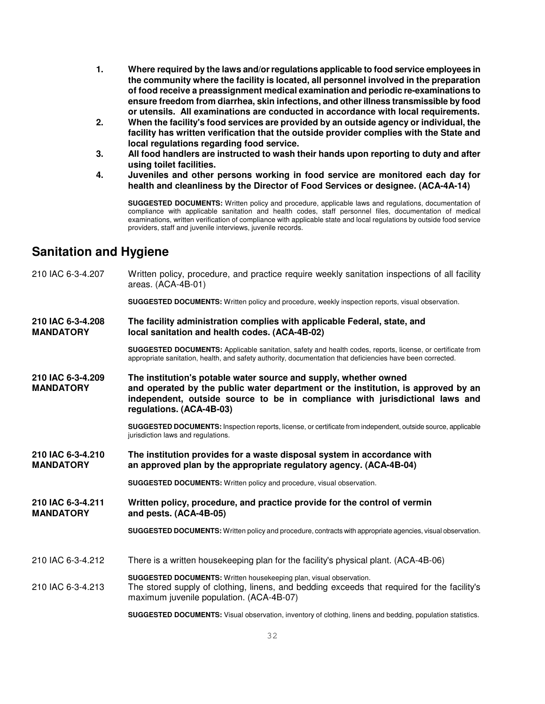- **1. Where required by the laws and/or regulations applicable to food service employees in the community where the facility is located, all personnel involved in the preparation of food receive a preassignment medical examination and periodic re-examinations to ensure freedom from diarrhea, skin infections, and other illness transmissible by food or utensils. All examinations are conducted in accordance with local requirements.**
- **2. When the facility's food services are provided by an outside agency or individual, the facility has written verification that the outside provider complies with the State and local regulations regarding food service.**
- **3. All food handlers are instructed to wash their hands upon reporting to duty and after using toilet facilities.**
- **4. Juveniles and other persons working in food service are monitored each day for health and cleanliness by the Director of Food Services or designee. (ACA-4A-14)**

**SUGGESTED DOCUMENTS:** Written policy and procedure, applicable laws and regulations, documentation of compliance with applicable sanitation and health codes, staff personnel files, documentation of medical examinations, written verification of compliance with applicable state and local regulations by outside food service providers, staff and juvenile interviews, juvenile records.

## **Sanitation and Hygiene**

210 IAC 6-3-4.207 Written policy, procedure, and practice require weekly sanitation inspections of all facility areas. (ACA-4B-01) **SUGGESTED DOCUMENTS:** Written policy and procedure, weekly inspection reports, visual observation. **210 IAC 6-3-4.208 The facility administration complies with applicable Federal, state, and Iocal sanitation and health codes. (ACA-4B-02) SUGGESTED DOCUMENTS:** Applicable sanitation, safety and health codes, reports, license, or certificate from appropriate sanitation, health, and safety authority, documentation that deficiencies have been corrected. **210 IAC 6-3-4.209 The institution's potable water source and supply, whether owned MANDATORY and operated by the public water department or the institution, is approved by an independent, outside source to be in compliance with jurisdictional laws and regulations. (ACA-4B-03) SUGGESTED DOCUMENTS:** Inspection reports, license, or certificate from independent, outside source, applicable jurisdiction laws and regulations. **210 IAC 6-3-4.210 The institution provides for a waste disposal system in accordance with MANDATORY an approved plan by the appropriate regulatory agency. (ACA-4B-04) SUGGESTED DOCUMENTS:** Written policy and procedure, visual observation. **210 IAC 6-3-4.211 Written policy, procedure, and practice provide for the control of vermin and pests. (ACA-4B-05) SUGGESTED DOCUMENTS:** Written policy and procedure, contracts with appropriate agencies, visual observation. 210 IAC 6-3-4.212 There is a written housekeeping plan for the facility's physical plant. (ACA-4B-06) **SUGGESTED DOCUMENTS:** Written housekeeping plan, visual observation. 210 IAC 6-3-4.213 The stored supply of clothing, linens, and bedding exceeds that required for the facility's maximum juvenile population. (ACA-4B-07)

**SUGGESTED DOCUMENTS:** Visual observation, inventory of clothing, linens and bedding, population statistics.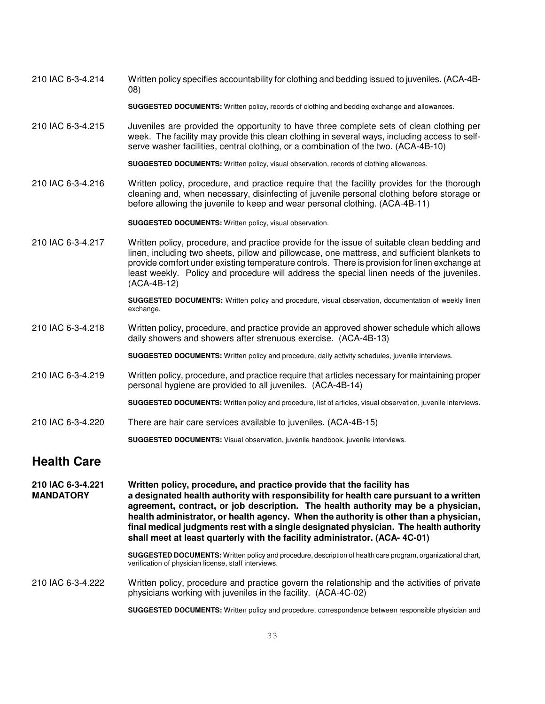210 IAC 6-3-4.214 Written policy specifies accountability for clothing and bedding issued to juveniles. (ACA-4B-08)

**SUGGESTED DOCUMENTS:** Written policy, records of clothing and bedding exchange and allowances.

210 IAC 6-3-4.215 Juveniles are provided the opportunity to have three complete sets of clean clothing per week. The facility may provide this clean clothing in several ways, including access to selfserve washer facilities, central clothing, or a combination of the two. (ACA-4B-10)

**SUGGESTED DOCUMENTS:** Written policy, visual observation, records of clothing allowances.

210 IAC 6-3-4.216 Written policy, procedure, and practice require that the facility provides for the thorough cleaning and, when necessary, disinfecting of juvenile personal clothing before storage or before allowing the juvenile to keep and wear personal clothing. (ACA-4B-11)

**SUGGESTED DOCUMENTS:** Written policy, visual observation.

210 IAC 6-3-4.217 Written policy, procedure, and practice provide for the issue of suitable clean bedding and linen, including two sheets, pillow and pillowcase, one mattress, and sufficient blankets to provide comfort under existing temperature controls. There is provision for linen exchange at least weekly. Policy and procedure will address the special linen needs of the juveniles. (ACA-4B-12)

> **SUGGESTED DOCUMENTS:** Written policy and procedure, visual observation, documentation of weekly linen exchange.

- 210 IAC 6-3-4.218 Written policy, procedure, and practice provide an approved shower schedule which allows daily showers and showers after strenuous exercise. (ACA-4B-13)
	- **SUGGESTED DOCUMENTS:** Written policy and procedure, daily activity schedules, juvenile interviews.
- 210 IAC 6-3-4.219 Written policy, procedure, and practice require that articles necessary for maintaining proper personal hygiene are provided to all juveniles. (ACA-4B-14)

**SUGGESTED DOCUMENTS:** Written policy and procedure, list of articles, visual observation, juvenile interviews.

210 IAC 6-3-4.220 There are hair care services available to juveniles. (ACA-4B-15)

**SUGGESTED DOCUMENTS:** Visual observation, juvenile handbook, juvenile interviews.

## **Health Care**

**210 IAC 6-3-4.221 Written policy, procedure, and practice provide that the facility has MANDATORY a designated health authority with responsibility for health care pursuant to a written agreement, contract, or job description. The health authority may be a physician, health administrator, or health agency. When the authority is other than a physician, final medical judgments rest with a single designated physician. The health authority shall meet at least quarterly with the facility administrator. (ACA- 4C-01)**

> **SUGGESTED DOCUMENTS:** Written policy and procedure, description of health care program, organizational chart, verification of physician license, staff interviews.

210 IAC 6-3-4.222 Written policy, procedure and practice govern the relationship and the activities of private physicians working with juveniles in the facility. (ACA-4C-02)

**SUGGESTED DOCUMENTS:** Written policy and procedure, correspondence between responsible physician and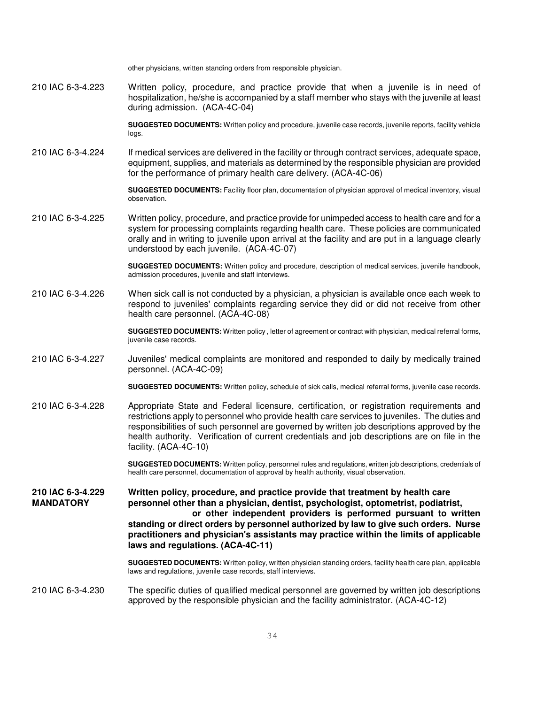other physicians, written standing orders from responsible physician. 210 IAC 6-3-4.223 Written policy, procedure, and practice provide that when a juvenile is in need of hospitalization, he/she is accompanied by a staff member who stays with the juvenile at least during admission. (ACA-4C-04) **SUGGESTED DOCUMENTS:** Written policy and procedure, juvenile case records, juvenile reports, facility vehicle logs. 210 IAC 6-3-4.224 If medical services are delivered in the facility or through contract services, adequate space, equipment, supplies, and materials as determined by the responsible physician are provided for the performance of primary health care delivery. (ACA-4C-06) **SUGGESTED DOCUMENTS:** Facility floor plan, documentation of physician approval of medical inventory, visual observation. 210 IAC 6-3-4.225 Written policy, procedure, and practice provide for unimpeded access to health care and for a system for processing complaints regarding health care. These policies are communicated orally and in writing to juvenile upon arrival at the facility and are put in a language clearly understood by each juvenile. (ACA-4C-07) **SUGGESTED DOCUMENTS:** Written policy and procedure, description of medical services, juvenile handbook, admission procedures, juvenile and staff interviews. 210 IAC 6-3-4.226 When sick call is not conducted by a physician, a physician is available once each week to respond to juveniles' complaints regarding service they did or did not receive from other health care personnel. (ACA-4C-08) **SUGGESTED DOCUMENTS:** Written policy , letter of agreement or contract with physician, medical referral forms, juvenile case records. 210 IAC 6-3-4.227 Juveniles' medical complaints are monitored and responded to daily by medically trained personnel. (ACA-4C-09) **SUGGESTED DOCUMENTS:** Written policy, schedule of sick calls, medical referral forms, juvenile case records. 210 IAC 6-3-4.228 Appropriate State and Federal licensure, certification, or registration requirements and restrictions apply to personnel who provide health care services to juveniles. The duties and responsibilities of such personnel are governed by written job descriptions approved by the health authority. Verification of current credentials and job descriptions are on file in the facility. (ACA-4C-10) **SUGGESTED DOCUMENTS:** Written policy, personnel rules and regulations, written job descriptions, credentials of health care personnel, documentation of approval by health authority, visual observation. **210 IAC 6-3-4.229 Written policy, procedure, and practice provide that treatment by health care MANDATORY personnel other than a physician, dentist, psychologist, optometrist, podiatrist, or other independent providers is performed pursuant to written standing or direct orders by personnel authorized by law to give such orders. Nurse practitioners and physician's assistants may practice within the limits of applicable laws and regulations. (ACA-4C-11) SUGGESTED DOCUMENTS:** Written policy, written physician standing orders, facility health care plan, applicable laws and regulations, juvenile case records, staff interviews. 210 IAC 6-3-4.230 The specific duties of qualified medical personnel are governed by written job descriptions approved by the responsible physician and the facility administrator. (ACA-4C-12)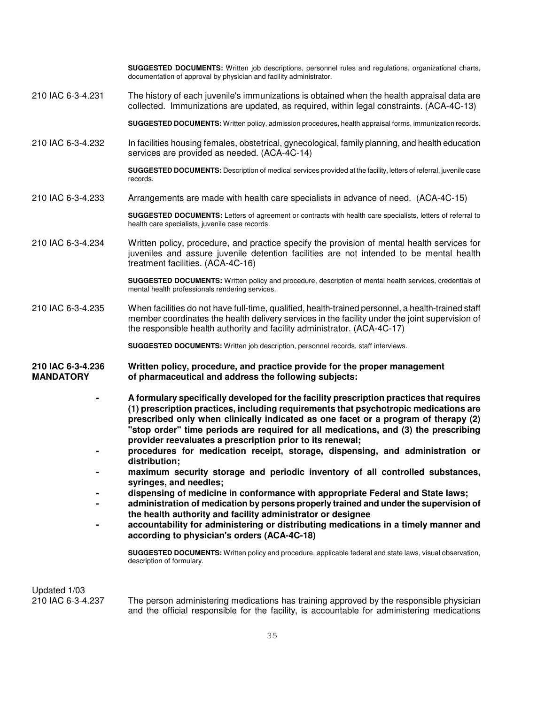**SUGGESTED DOCUMENTS:** Written job descriptions, personnel rules and regulations, organizational charts, documentation of approval by physician and facility administrator.

210 IAC 6-3-4.231 The history of each juvenile's immunizations is obtained when the health appraisal data are collected. Immunizations are updated, as required, within legal constraints. (ACA-4C-13)

**SUGGESTED DOCUMENTS:** Written policy, admission procedures, health appraisal forms, immunization records.

210 IAC 6-3-4.232 In facilities housing females, obstetrical, gynecological, family planning, and health education services are provided as needed. (ACA-4C-14)

> **SUGGESTED DOCUMENTS:** Description of medical services provided at the facility, letters of referral, juvenile case records.

210 IAC 6-3-4.233 Arrangements are made with health care specialists in advance of need. (ACA-4C-15)

**SUGGESTED DOCUMENTS:** Letters of agreement or contracts with health care specialists, letters of referral to health care specialists, juvenile case records.

210 IAC 6-3-4.234 Written policy, procedure, and practice specify the provision of mental health services for juveniles and assure juvenile detention facilities are not intended to be mental health treatment facilities. (ACA-4C-16)

> **SUGGESTED DOCUMENTS:** Written policy and procedure, description of mental health services, credentials of mental health professionals rendering services.

210 IAC 6-3-4.235 When facilities do not have full-time, qualified, health-trained personnel, a health-trained staff member coordinates the health delivery services in the facility under the joint supervision of the responsible health authority and facility administrator. (ACA-4C-17)

**SUGGESTED DOCUMENTS:** Written job description, personnel records, staff interviews.

- **210 IAC 6-3-4.236 Written policy, procedure, and practice provide for the proper management**  of pharmaceutical and address the following subjects:
	- **A formulary specifically developed for the facility prescription practices that requires (1) prescription practices, including requirements that psychotropic medications are prescribed only when clinically indicated as one facet or a program of therapy (2) "stop order" time periods are required for all medications, and (3) the prescribing provider reevaluates a prescription prior to its renewal;**
	- **procedures for medication receipt, storage, dispensing, and administration or distribution;**
	- **maximum security storage and periodic inventory of all controlled substances, syringes, and needles;**
	- **dispensing of medicine in conformance with appropriate Federal and State laws;**
	- **administration of medication by persons properly trained and under the supervision of the health authority and facility administrator or designee**
	- **accountability for administering or distributing medications in a timely manner and according to physician's orders (ACA-4C-18)**

**SUGGESTED DOCUMENTS:** Written policy and procedure, applicable federal and state laws, visual observation, description of formulary.

Updated 1/03

210 IAC 6-3-4.237 The person administering medications has training approved by the responsible physician and the official responsible for the facility, is accountable for administering medications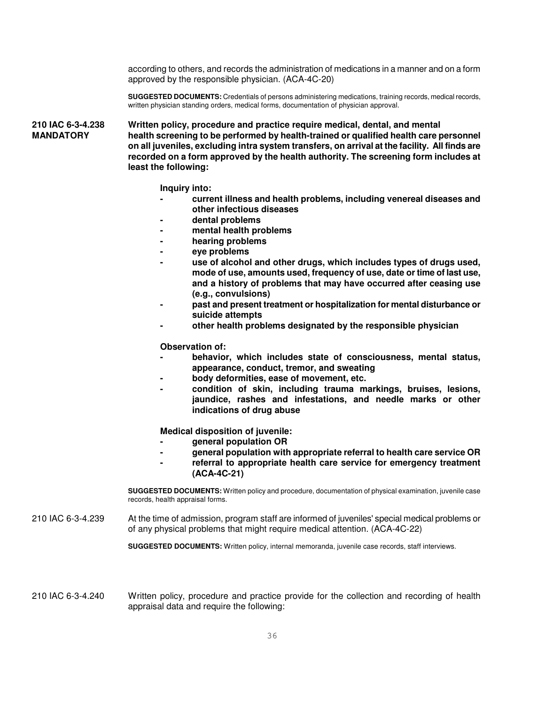according to others, and records the administration of medications in a manner and on a form approved by the responsible physician. (ACA-4C-20)

**SUGGESTED DOCUMENTS:** Credentials of persons administering medications, training records, medical records, written physician standing orders, medical forms, documentation of physician approval.

**210 IAC 6-3-4.238 Written policy, procedure and practice require medical, dental, and mental MANDATORY health screening to be performed by health-trained or qualified health care personnel on all juveniles, excluding intra system transfers, on arrival at the facility. All finds are recorded on a form approved by the health authority. The screening form includes at least the following:** 

**Inquiry into:** 

- **current illness and health problems, including venereal diseases and other infectious diseases**
- **dental problems**
- **mental health problems**
- **hearing problems**
- **eye problems**
- **use of alcohol and other drugs, which includes types of drugs used, mode of use, amounts used, frequency of use, date or time of last use, and a history of problems that may have occurred after ceasing use (e.g., convulsions)**
- **past and present treatment or hospitalization for mental disturbance or suicide attempts**
- **other health problems designated by the responsible physician**

**Observation of:** 

- **behavior, which includes state of consciousness, mental status, appearance, conduct, tremor, and sweating**
- **body deformities, ease of movement, etc.**
- **condition of skin, including trauma markings, bruises, lesions, jaundice, rashes and infestations, and needle marks or other indications of drug abuse**

**Medical disposition of juvenile:** 

- **general population OR**
- **general population with appropriate referral to health care service OR**
- **referral to appropriate health care service for emergency treatment (ACA-4C-21)**

**SUGGESTED DOCUMENTS:** Written policy and procedure, documentation of physical examination, juvenile case records, health appraisal forms.

210 IAC 6-3-4.239 At the time of admission, program staff are informed of juveniles' special medical problems or of any physical problems that might require medical attention. (ACA-4C-22)

**SUGGESTED DOCUMENTS:** Written policy, internal memoranda, juvenile case records, staff interviews.

210 IAC 6-3-4.240 Written policy, procedure and practice provide for the collection and recording of health appraisal data and require the following: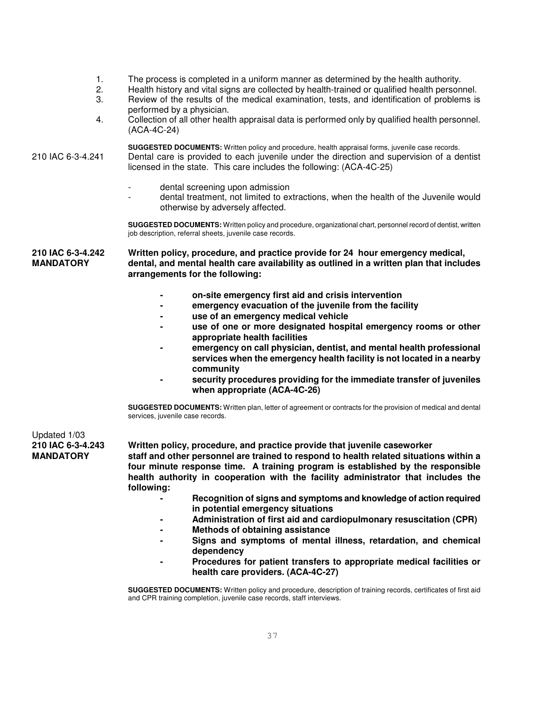- 1. The process is completed in a uniform manner as determined by the health authority.
- 2. Health history and vital signs are collected by health-trained or qualified health personnel.
- 3. Review of the results of the medical examination, tests, and identification of problems is performed by a physician.
- 4. Collection of all other health appraisal data is performed only by qualified health personnel. (ACA-4C-24)

**SUGGESTED DOCUMENTS:** Written policy and procedure, health appraisal forms, juvenile case records. 210 IAC 6-3-4.241 Dental care is provided to each juvenile under the direction and supervision of a dentist licensed in the state. This care includes the following: (ACA-4C-25)

- dental screening upon admission
- dental treatment, not limited to extractions, when the health of the Juvenile would otherwise by adversely affected.

**SUGGESTED DOCUMENTS:** Written policy and procedure, organizational chart, personnel record of dentist, written job description, referral sheets, juvenile case records.

**210 IAC 6-3-4.242 Written policy, procedure, and practice provide for 24 hour emergency medical, MANDATORY dental, and mental health care availability as outlined in a written plan that includes arrangements for the following:** 

- **on-site emergency first aid and crisis intervention**
- **emergency evacuation of the juvenile from the facility**
- **use of an emergency medical vehicle**
- **use of one or more designated hospital emergency rooms or other appropriate health facilities**
- **emergency on call physician, dentist, and mental health professional services when the emergency health facility is not located in a nearby community**
- **security procedures providing for the immediate transfer of juveniles when appropriate (ACA-4C-26)**

**SUGGESTED DOCUMENTS:** Written plan, letter of agreement or contracts for the provision of medical and dental services, juvenile case records.

# Updated 1/03<br>**210 IAC 6-3-4.243**

**210 IAC 6-3-4.243 Written policy, procedure, and practice provide that juvenile caseworker** 

**MANDATORY staff and other personnel are trained to respond to health related situations within a four minute response time. A training program is established by the responsible health authority in cooperation with the facility administrator that includes the following:** 

- **Recognition of signs and symptoms and knowledge of action required in potential emergency situations**
- **Administration of first aid and cardiopulmonary resuscitation (CPR)**
- **Methods of obtaining assistance**
- **Signs and symptoms of mental illness, retardation, and chemical dependency**
- **Procedures for patient transfers to appropriate medical facilities or health care providers. (ACA-4C-27)**

**SUGGESTED DOCUMENTS:** Written policy and procedure, description of training records, certificates of first aid and CPR training completion, juvenile case records, staff interviews.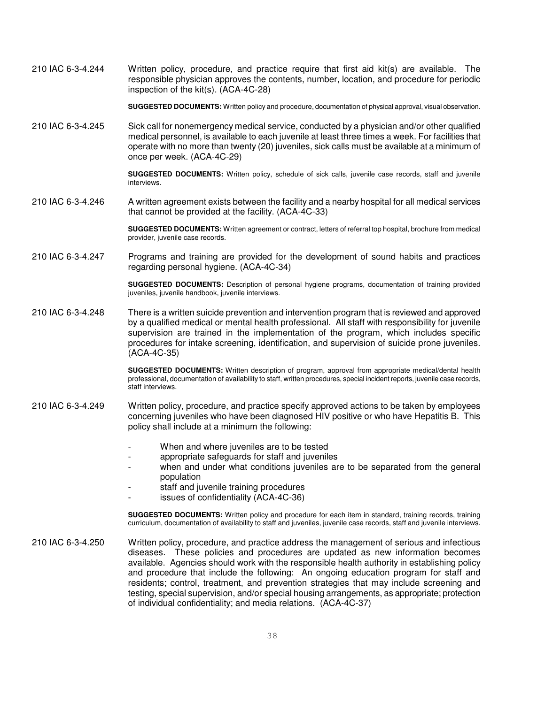210 IAC 6-3-4.244 Written policy, procedure, and practice require that first aid kit(s) are available. The responsible physician approves the contents, number, location, and procedure for periodic inspection of the kit(s). (ACA-4C-28)

**SUGGESTED DOCUMENTS:** Written policy and procedure, documentation of physical approval, visual observation.

210 IAC 6-3-4.245 Sick call for nonemergency medical service, conducted by a physician and/or other qualified medical personnel, is available to each juvenile at least three times a week. For facilities that operate with no more than twenty (20) juveniles, sick calls must be available at a minimum of once per week. (ACA-4C-29)

> **SUGGESTED DOCUMENTS:** Written policy, schedule of sick calls, juvenile case records, staff and juvenile interviews.

210 IAC 6-3-4.246 A written agreement exists between the facility and a nearby hospital for all medical services that cannot be provided at the facility. (ACA-4C-33)

> **SUGGESTED DOCUMENTS:** Written agreement or contract, letters of referral top hospital, brochure from medical provider, juvenile case records.

210 IAC 6-3-4.247 Programs and training are provided for the development of sound habits and practices regarding personal hygiene. (ACA-4C-34)

> **SUGGESTED DOCUMENTS:** Description of personal hygiene programs, documentation of training provided juveniles, juvenile handbook, juvenile interviews.

210 IAC 6-3-4.248 There is a written suicide prevention and intervention program that is reviewed and approved by a qualified medical or mental health professional. All staff with responsibility for juvenile supervision are trained in the implementation of the program, which includes specific procedures for intake screening, identification, and supervision of suicide prone juveniles. (ACA-4C-35)

> **SUGGESTED DOCUMENTS:** Written description of program, approval from appropriate medical/dental health professional, documentation of availability to staff, written procedures, special incident reports, juvenile case records, staff interviews.

- 210 IAC 6-3-4.249 Written policy, procedure, and practice specify approved actions to be taken by employees concerning juveniles who have been diagnosed HIV positive or who have Hepatitis B. This policy shall include at a minimum the following:
	- When and where juveniles are to be tested
	- appropriate safeguards for staff and juveniles
	- when and under what conditions juveniles are to be separated from the general population
	- staff and juvenile training procedures
		- issues of confidentiality (ACA-4C-36)

**SUGGESTED DOCUMENTS:** Written policy and procedure for each item in standard, training records, training curriculum, documentation of availability to staff and juveniles, juvenile case records, staff and juvenile interviews.

210 IAC 6-3-4.250 Written policy, procedure, and practice address the management of serious and infectious diseases. These policies and procedures are updated as new information becomes available. Agencies should work with the responsible health authority in establishing policy and procedure that include the following: An ongoing education program for staff and residents; control, treatment, and prevention strategies that may include screening and testing, special supervision, and/or special housing arrangements, as appropriate; protection of individual confidentiality; and media relations. (ACA-4C-37)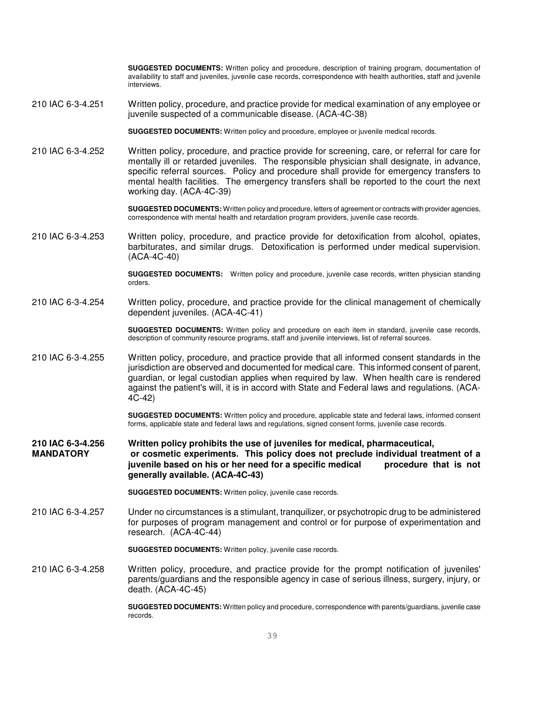**SUGGESTED DOCUMENTS:** Written policy and procedure, description of training program, documentation of availability to staff and juveniles, juvenile case records, correspondence with health authorities, staff and juvenile interviews.

210 IAC 6-3-4.251 Written policy, procedure, and practice provide for medical examination of any employee or juvenile suspected of a communicable disease. (ACA-4C-38)

**SUGGESTED DOCUMENTS:** Written policy and procedure, employee or juvenile medical records.

210 IAC 6-3-4.252 Written policy, procedure, and practice provide for screening, care, or referral for care for mentally ill or retarded juveniles. The responsible physician shall designate, in advance, specific referral sources. Policy and procedure shall provide for emergency transfers to mental health facilities. The emergency transfers shall be reported to the court the next working day. (ACA-4C-39)

> **SUGGESTED DOCUMENTS:** Written policy and procedure, letters of agreement or contracts with provider agencies, correspondence with mental health and retardation program providers, juvenile case records.

210 IAC 6-3-4.253 Written policy, procedure, and practice provide for detoxification from alcohol, opiates, barbiturates, and similar drugs. Detoxification is performed under medical supervision. (ACA-4C-40)

> **SUGGESTED DOCUMENTS:** Written policy and procedure, juvenile case records, written physician standing orders.

#### 210 IAC 6-3-4.254 Written policy, procedure, and practice provide for the clinical management of chemically dependent juveniles. (ACA-4C-41)

**SUGGESTED DOCUMENTS:** Written policy and procedure on each item in standard, juvenile case records, description of community resource programs, staff and juvenile interviews, list of referral sources.

210 IAC 6-3-4.255 Written policy, procedure, and practice provide that all informed consent standards in the jurisdiction are observed and documented for medical care. This informed consent of parent, guardian, or legal custodian applies when required by law. When health care is rendered against the patient's will, it is in accord with State and Federal laws and regulations. (ACA-4C-42)

> **SUGGESTED DOCUMENTS:** Written policy and procedure, applicable state and federal laws, informed consent forms, applicable state and federal laws and regulations, signed consent forms, juvenile case records.

**210 IAC 6-3-4.256 Written policy prohibits the use of juveniles for medical, pharmaceutical, MANDATORY or cosmetic experiments. This policy does not preclude individual treatment of a juvenile based on his or her need for a specific medical procedure that is not generally available. (ACA-4C-43)** 

**SUGGESTED DOCUMENTS:** Written policy, juvenile case records.

210 IAC 6-3-4.257 Under no circumstances is a stimulant, tranquilizer, or psychotropic drug to be administered for purposes of program management and control or for purpose of experimentation and research. (ACA-4C-44)

**SUGGESTED DOCUMENTS:** Written policy, juvenile case records.

210 IAC 6-3-4.258 Written policy, procedure, and practice provide for the prompt notification of juveniles' parents/guardians and the responsible agency in case of serious illness, surgery, injury, or death. (ACA-4C-45)

> **SUGGESTED DOCUMENTS:** Written policy and procedure, correspondence with parents/guardians, juvenile case records.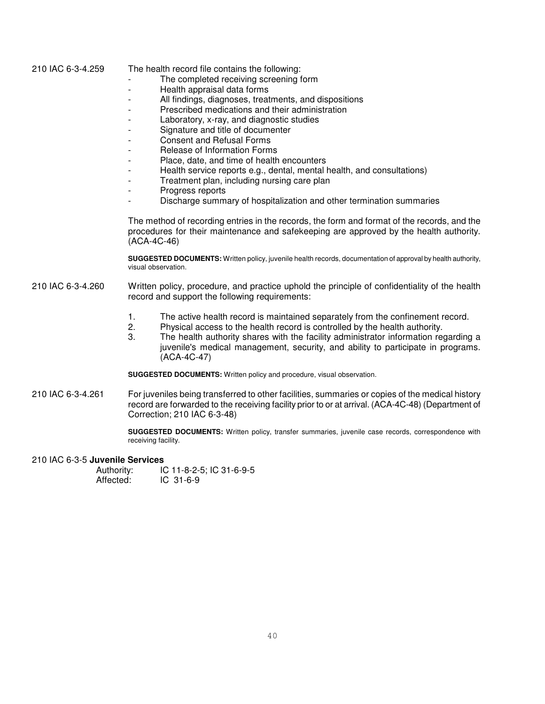210 IAC 6-3-4.259 The health record file contains the following:

- The completed receiving screening form
- Health appraisal data forms
- All findings, diagnoses, treatments, and dispositions
- Prescribed medications and their administration
- Laboratory, x-ray, and diagnostic studies
- Signature and title of documenter
- Consent and Refusal Forms
- Release of Information Forms
- Place, date, and time of health encounters
- Health service reports e.g., dental, mental health, and consultations)
- Treatment plan, including nursing care plan
- Progress reports
- Discharge summary of hospitalization and other termination summaries

The method of recording entries in the records, the form and format of the records, and the procedures for their maintenance and safekeeping are approved by the health authority. (ACA-4C-46)

**SUGGESTED DOCUMENTS:** Written policy, juvenile health records, documentation of approval by health authority, visual observation.

#### 210 IAC 6-3-4.260 Written policy, procedure, and practice uphold the principle of confidentiality of the health record and support the following requirements:

- 1. The active health record is maintained separately from the confinement record.
- 2. Physical access to the health record is controlled by the health authority.
- The health authority shares with the facility administrator information regarding a juvenile's medical management, security, and ability to participate in programs. (ACA-4C-47)

**SUGGESTED DOCUMENTS:** Written policy and procedure, visual observation.

210 IAC 6-3-4.261 For juveniles being transferred to other facilities, summaries or copies of the medical history record are forwarded to the receiving facility prior to or at arrival. (ACA-4C-48) (Department of Correction; 210 IAC 6-3-48)

> **SUGGESTED DOCUMENTS:** Written policy, transfer summaries, juvenile case records, correspondence with receiving facility.

#### 210 IAC 6-3-5 **Juvenile Services**

Authority: IC 11-8-2-5; IC 31-6-9-5<br>Affected: IC 31-6-9 IC 31-6-9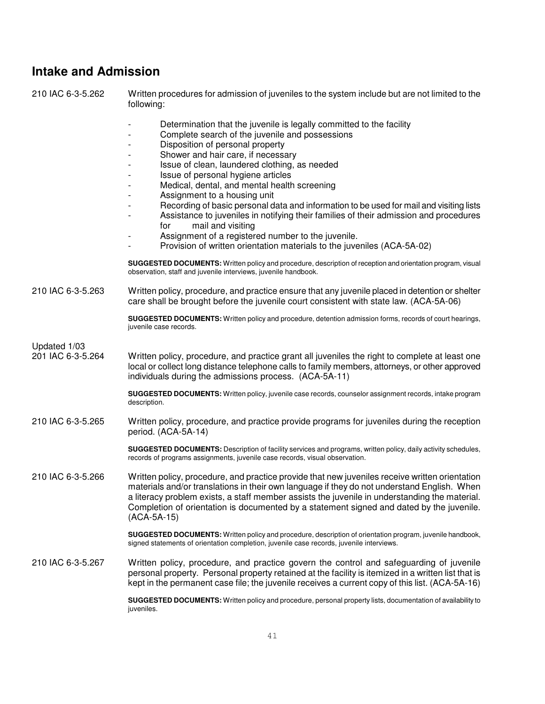## **Intake and Admission**

210 IAC 6-3-5.262 Written procedures for admission of juveniles to the system include but are not limited to the following:

- Determination that the juvenile is legally committed to the facility
- Complete search of the juvenile and possessions
- Disposition of personal property
- Shower and hair care, if necessary
- Issue of clean, laundered clothing, as needed
- Issue of personal hygiene articles
- Medical, dental, and mental health screening
- Assignment to a housing unit
- Recording of basic personal data and information to be used for mail and visiting lists
	- Assistance to juveniles in notifying their families of their admission and procedures for mail and visiting
- Assignment of a registered number to the juvenile.
- Provision of written orientation materials to the juveniles (ACA-5A-02)

**SUGGESTED DOCUMENTS:** Written policy and procedure, description of reception and orientation program, visual observation, staff and juvenile interviews, juvenile handbook.

210 IAC 6-3-5.263 Written policy, procedure, and practice ensure that any juvenile placed in detention or shelter care shall be brought before the juvenile court consistent with state law. (ACA-5A-06)

> **SUGGESTED DOCUMENTS:** Written policy and procedure, detention admission forms, records of court hearings, juvenile case records.

Updated 1/03

201 IAC 6-3-5.264 Written policy, procedure, and practice grant all juveniles the right to complete at least one local or collect long distance telephone calls to family members, attorneys, or other approved individuals during the admissions process. (ACA-5A-11)

> **SUGGESTED DOCUMENTS:** Written policy, juvenile case records, counselor assignment records, intake program description.

210 IAC 6-3-5.265 Written policy, procedure, and practice provide programs for juveniles during the reception period. (ACA-5A-14)

> **SUGGESTED DOCUMENTS:** Description of facility services and programs, written policy, daily activity schedules, records of programs assignments, juvenile case records, visual observation.

210 IAC 6-3-5.266 Written policy, procedure, and practice provide that new juveniles receive written orientation materials and/or translations in their own language if they do not understand English. When a literacy problem exists, a staff member assists the juvenile in understanding the material. Completion of orientation is documented by a statement signed and dated by the juvenile. (ACA-5A-15)

> **SUGGESTED DOCUMENTS:** Written policy and procedure, description of orientation program, juvenile handbook, signed statements of orientation completion, juvenile case records, juvenile interviews.

210 IAC 6-3-5.267 Written policy, procedure, and practice govern the control and safeguarding of juvenile personal property. Personal property retained at the facility is itemized in a written list that is kept in the permanent case file; the juvenile receives a current copy of this list. (ACA-5A-16)

> **SUGGESTED DOCUMENTS:** Written policy and procedure, personal property lists, documentation of availability to juveniles.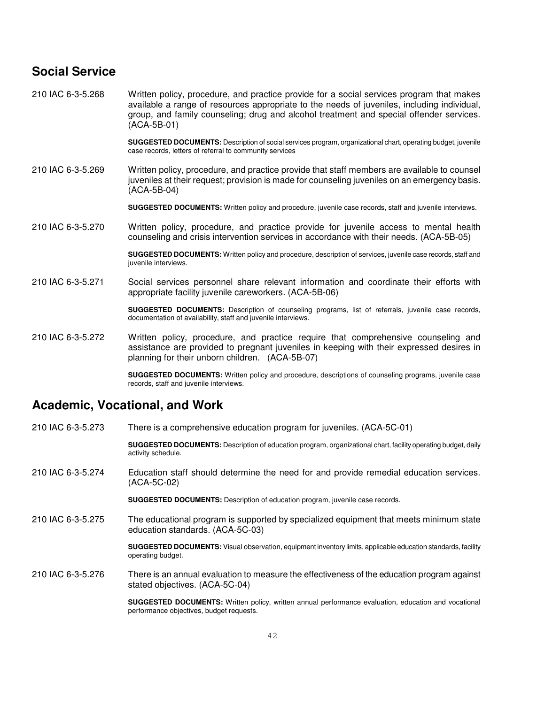## **Social Service**

210 IAC 6-3-5.268 Written policy, procedure, and practice provide for a social services program that makes available a range of resources appropriate to the needs of juveniles, including individual, group, and family counseling; drug and alcohol treatment and special offender services. (ACA-5B-01)

> **SUGGESTED DOCUMENTS:** Description of social services program, organizational chart, operating budget, juvenile case records, letters of referral to community services

210 IAC 6-3-5.269 Written policy, procedure, and practice provide that staff members are available to counsel juveniles at their request; provision is made for counseling juveniles on an emergency basis. (ACA-5B-04)

**SUGGESTED DOCUMENTS:** Written policy and procedure, juvenile case records, staff and juvenile interviews.

210 IAC 6-3-5.270 Written policy, procedure, and practice provide for juvenile access to mental health counseling and crisis intervention services in accordance with their needs. (ACA-5B-05)

> **SUGGESTED DOCUMENTS:** Written policy and procedure, description of services, juvenile case records, staff and juvenile interviews.

210 IAC 6-3-5.271 Social services personnel share relevant information and coordinate their efforts with appropriate facility juvenile careworkers. (ACA-5B-06)

> **SUGGESTED DOCUMENTS:** Description of counseling programs, list of referrals, juvenile case records, documentation of availability, staff and juvenile interviews.

210 IAC 6-3-5.272 Written policy, procedure, and practice require that comprehensive counseling and assistance are provided to pregnant juveniles in keeping with their expressed desires in planning for their unborn children. (ACA-5B-07)

> **SUGGESTED DOCUMENTS:** Written policy and procedure, descriptions of counseling programs, juvenile case records, staff and juvenile interviews.

## **Academic, Vocational, and Work**

210 IAC 6-3-5.273 There is a comprehensive education program for juveniles. (ACA-5C-01) **SUGGESTED DOCUMENTS:** Description of education program, organizational chart, facility operating budget, daily activity schedule. 210 IAC 6-3-5.274 Education staff should determine the need for and provide remedial education services. (ACA-5C-02) **SUGGESTED DOCUMENTS:** Description of education program, juvenile case records. 210 IAC 6-3-5.275 The educational program is supported by specialized equipment that meets minimum state education standards. (ACA-5C-03) **SUGGESTED DOCUMENTS:** Visual observation, equipment inventory limits, applicable education standards, facility operating budget. 210 IAC 6-3-5.276 There is an annual evaluation to measure the effectiveness of the education program against stated objectives. (ACA-5C-04) **SUGGESTED DOCUMENTS:** Written policy, written annual performance evaluation, education and vocational performance objectives, budget requests.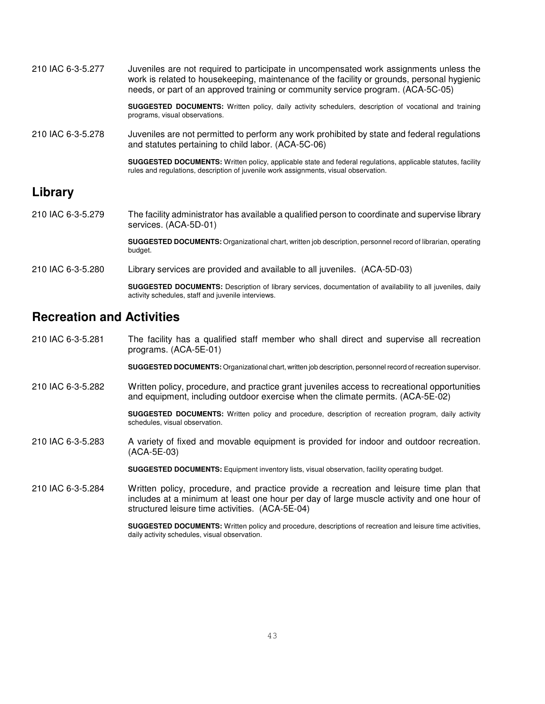| 210 IAC 6-3-5.277 | Juveniles are not required to participate in uncompensated work assignments unless the     |
|-------------------|--------------------------------------------------------------------------------------------|
|                   | work is related to housekeeping, maintenance of the facility or grounds, personal hygienic |
|                   | needs, or part of an approved training or community service program. (ACA-5C-05)           |

**SUGGESTED DOCUMENTS:** Written policy, daily activity schedulers, description of vocational and training programs, visual observations.

210 IAC 6-3-5.278 Juveniles are not permitted to perform any work prohibited by state and federal regulations and statutes pertaining to child labor. (ACA-5C-06)

> **SUGGESTED DOCUMENTS:** Written policy, applicable state and federal regulations, applicable statutes, facility rules and regulations, description of juvenile work assignments, visual observation.

## **Library**

210 IAC 6-3-5.279 The facility administrator has available a qualified person to coordinate and supervise library services. (ACA-5D-01)

> **SUGGESTED DOCUMENTS:** Organizational chart, written job description, personnel record of librarian, operating budget.

210 IAC 6-3-5.280 Library services are provided and available to all juveniles. (ACA-5D-03)

**SUGGESTED DOCUMENTS:** Description of library services, documentation of availability to all juveniles, daily activity schedules, staff and juvenile interviews.

## **Recreation and Activities**

210 IAC 6-3-5.281 The facility has a qualified staff member who shall direct and supervise all recreation programs. (ACA-5E-01)

**SUGGESTED DOCUMENTS:** Organizational chart, written job description, personnel record of recreation supervisor.

210 IAC 6-3-5.282 Written policy, procedure, and practice grant juveniles access to recreational opportunities and equipment, including outdoor exercise when the climate permits. (ACA-5E-02)

> **SUGGESTED DOCUMENTS:** Written policy and procedure, description of recreation program, daily activity schedules, visual observation.

210 IAC 6-3-5.283 A variety of fixed and movable equipment is provided for indoor and outdoor recreation. (ACA-5E-03)

**SUGGESTED DOCUMENTS:** Equipment inventory lists, visual observation, facility operating budget.

210 IAC 6-3-5.284 Written policy, procedure, and practice provide a recreation and leisure time plan that includes at a minimum at least one hour per day of large muscle activity and one hour of structured leisure time activities. (ACA-5E-04)

> **SUGGESTED DOCUMENTS:** Written policy and procedure, descriptions of recreation and leisure time activities, daily activity schedules, visual observation.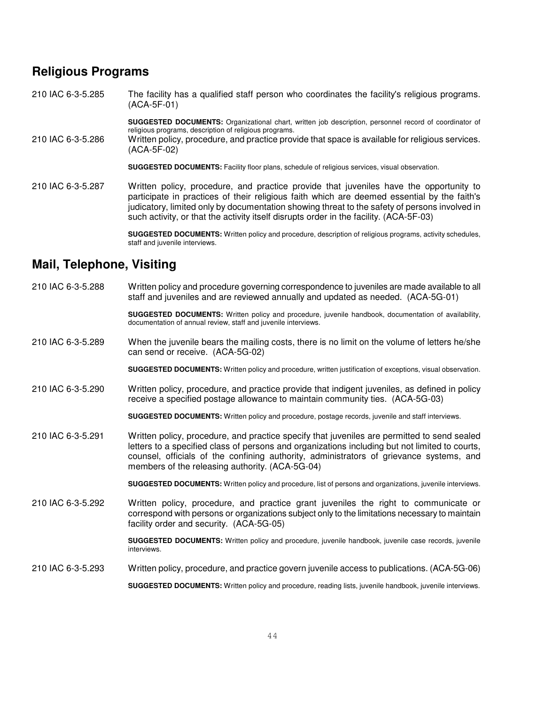## **Religious Programs**

210 IAC 6-3-5.285 The facility has a qualified staff person who coordinates the facility's religious programs. (ACA-5F-01)

> **SUGGESTED DOCUMENTS:** Organizational chart, written job description, personnel record of coordinator of religious programs, description of religious programs.

210 IAC 6-3-5.286 Written policy, procedure, and practice provide that space is available for religious services. (ACA-5F-02)

**SUGGESTED DOCUMENTS:** Facility floor plans, schedule of religious services, visual observation.

210 IAC 6-3-5.287 Written policy, procedure, and practice provide that juveniles have the opportunity to participate in practices of their religious faith which are deemed essential by the faith's judicatory, limited only by documentation showing threat to the safety of persons involved in such activity, or that the activity itself disrupts order in the facility. (ACA-5F-03)

> **SUGGESTED DOCUMENTS:** Written policy and procedure, description of religious programs, activity schedules, staff and juvenile interviews.

## **Mail, Telephone, Visiting**

210 IAC 6-3-5.288 Written policy and procedure governing correspondence to juveniles are made available to all staff and juveniles and are reviewed annually and updated as needed. (ACA-5G-01)

> **SUGGESTED DOCUMENTS:** Written policy and procedure, juvenile handbook, documentation of availability, documentation of annual review, staff and juvenile interviews.

210 IAC 6-3-5.289 When the juvenile bears the mailing costs, there is no limit on the volume of letters he/she can send or receive. (ACA-5G-02)

**SUGGESTED DOCUMENTS:** Written policy and procedure, written justification of exceptions, visual observation.

210 IAC 6-3-5.290 Written policy, procedure, and practice provide that indigent juveniles, as defined in policy receive a specified postage allowance to maintain community ties. (ACA-5G-03)

**SUGGESTED DOCUMENTS:** Written policy and procedure, postage records, juvenile and staff interviews.

210 IAC 6-3-5.291 Written policy, procedure, and practice specify that juveniles are permitted to send sealed letters to a specified class of persons and organizations including but not limited to courts, counsel, officials of the confining authority, administrators of grievance systems, and members of the releasing authority. (ACA-5G-04)

**SUGGESTED DOCUMENTS:** Written policy and procedure, list of persons and organizations, juvenile interviews.

210 IAC 6-3-5.292 Written policy, procedure, and practice grant juveniles the right to communicate or correspond with persons or organizations subject only to the limitations necessary to maintain facility order and security. (ACA-5G-05)

> **SUGGESTED DOCUMENTS:** Written policy and procedure, juvenile handbook, juvenile case records, juvenile interviews.

210 IAC 6-3-5.293 Written policy, procedure, and practice govern juvenile access to publications. (ACA-5G-06)

**SUGGESTED DOCUMENTS:** Written policy and procedure, reading lists, juvenile handbook, juvenile interviews.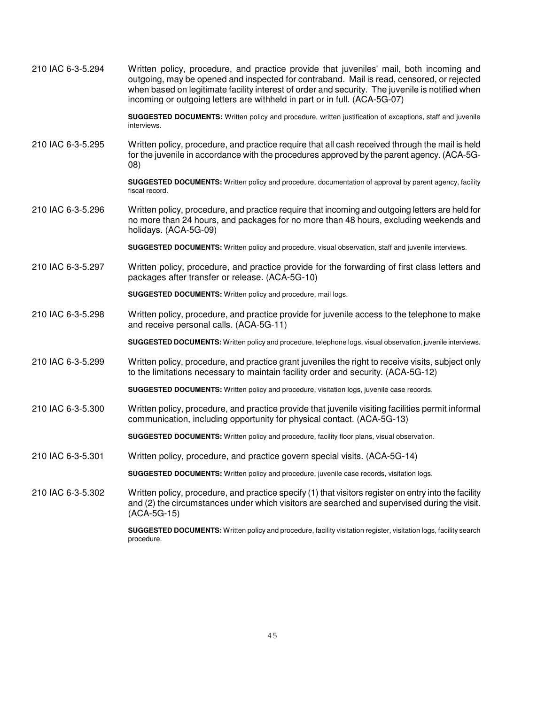| 210 IAC 6-3-5.294 | Written policy, procedure, and practice provide that juveniles' mail, both incoming and<br>outgoing, may be opened and inspected for contraband. Mail is read, censored, or rejected<br>when based on legitimate facility interest of order and security. The juvenile is notified when<br>incoming or outgoing letters are withheld in part or in full. (ACA-5G-07) |
|-------------------|----------------------------------------------------------------------------------------------------------------------------------------------------------------------------------------------------------------------------------------------------------------------------------------------------------------------------------------------------------------------|
|                   | SUGGESTED DOCUMENTS: Written policy and procedure, written justification of exceptions, staff and juvenile<br>interviews.                                                                                                                                                                                                                                            |
| 210 IAC 6-3-5.295 | Written policy, procedure, and practice require that all cash received through the mail is held<br>for the juvenile in accordance with the procedures approved by the parent agency. (ACA-5G-<br>(08)                                                                                                                                                                |
|                   | SUGGESTED DOCUMENTS: Written policy and procedure, documentation of approval by parent agency, facility<br>fiscal record.                                                                                                                                                                                                                                            |
| 210 IAC 6-3-5.296 | Written policy, procedure, and practice require that incoming and outgoing letters are held for<br>no more than 24 hours, and packages for no more than 48 hours, excluding weekends and<br>holidays. (ACA-5G-09)                                                                                                                                                    |
|                   | SUGGESTED DOCUMENTS: Written policy and procedure, visual observation, staff and juvenile interviews.                                                                                                                                                                                                                                                                |
| 210 IAC 6-3-5.297 | Written policy, procedure, and practice provide for the forwarding of first class letters and<br>packages after transfer or release. (ACA-5G-10)                                                                                                                                                                                                                     |
|                   | SUGGESTED DOCUMENTS: Written policy and procedure, mail logs.                                                                                                                                                                                                                                                                                                        |
| 210 IAC 6-3-5.298 | Written policy, procedure, and practice provide for juvenile access to the telephone to make<br>and receive personal calls. (ACA-5G-11)                                                                                                                                                                                                                              |
|                   | SUGGESTED DOCUMENTS: Written policy and procedure, telephone logs, visual observation, juvenile interviews.                                                                                                                                                                                                                                                          |
| 210 IAC 6-3-5.299 | Written policy, procedure, and practice grant juveniles the right to receive visits, subject only<br>to the limitations necessary to maintain facility order and security. (ACA-5G-12)                                                                                                                                                                               |
|                   | SUGGESTED DOCUMENTS: Written policy and procedure, visitation logs, juvenile case records.                                                                                                                                                                                                                                                                           |
| 210 IAC 6-3-5.300 | Written policy, procedure, and practice provide that juvenile visiting facilities permit informal<br>communication, including opportunity for physical contact. (ACA-5G-13)                                                                                                                                                                                          |
|                   | SUGGESTED DOCUMENTS: Written policy and procedure, facility floor plans, visual observation.                                                                                                                                                                                                                                                                         |
| 210 IAC 6-3-5.301 | Written policy, procedure, and practice govern special visits. (ACA-5G-14)                                                                                                                                                                                                                                                                                           |
|                   | SUGGESTED DOCUMENTS: Written policy and procedure, juvenile case records, visitation logs.                                                                                                                                                                                                                                                                           |
| 210 IAC 6-3-5.302 | Written policy, procedure, and practice specify (1) that visitors register on entry into the facility<br>and (2) the circumstances under which visitors are searched and supervised during the visit.<br>(ACA-5G-15)                                                                                                                                                 |
|                   | SUGGESTED DOCUMENTS: Written policy and procedure, facility visitation register, visitation logs, facility search                                                                                                                                                                                                                                                    |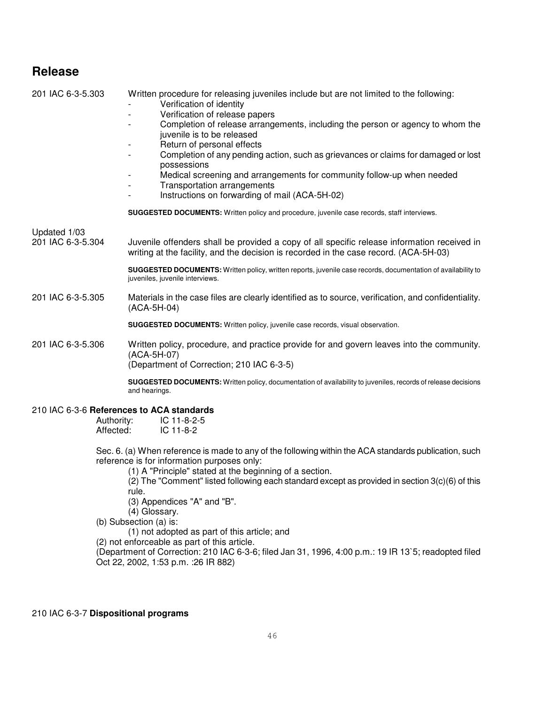## **Release**

201 IAC 6-3-5.303 Written procedure for releasing juveniles include but are not limited to the following:

- Verification of identity
- Verification of release papers
- Completion of release arrangements, including the person or agency to whom the juvenile is to be released
- Return of personal effects
- Completion of any pending action, such as grievances or claims for damaged or lost possessions
- Medical screening and arrangements for community follow-up when needed
- Transportation arrangements
- Instructions on forwarding of mail (ACA-5H-02)

**SUGGESTED DOCUMENTS:** Written policy and procedure, juvenile case records, staff interviews.

Updated 1/03

201 IAC 6-3-5.304 Juvenile offenders shall be provided a copy of all specific release information received in writing at the facility, and the decision is recorded in the case record. (ACA-5H-03)

> **SUGGESTED DOCUMENTS:** Written policy, written reports, juvenile case records, documentation of availability to juveniles, juvenile interviews.

201 IAC 6-3-5.305 Materials in the case files are clearly identified as to source, verification, and confidentiality. (ACA-5H-04)

**SUGGESTED DOCUMENTS:** Written policy, juvenile case records, visual observation.

201 IAC 6-3-5.306 Written policy, procedure, and practice provide for and govern leaves into the community. (ACA-5H-07) (Department of Correction; 210 IAC 6-3-5)

> **SUGGESTED DOCUMENTS:** Written policy, documentation of availability to juveniles, records of release decisions and hearings.

#### 210 IAC 6-3-6 **References to ACA standards**

| Authority: | $IC$ 11-8-2-5 |
|------------|---------------|
| Affected:  | $IC$ 11-8-2   |

Sec. 6. (a) When reference is made to any of the following within the ACA standards publication, such reference is for information purposes only:

(1) A "Principle" stated at the beginning of a section.

(2) The "Comment" listed following each standard except as provided in section 3(c)(6) of this rule.

(3) Appendices "A" and "B".

(4) Glossary.

(b) Subsection (a) is:

(1) not adopted as part of this article; and

(2) not enforceable as part of this article.

(Department of Correction: 210 IAC 6-3-6; filed Jan 31, 1996, 4:00 p.m.: 19 IR 13`5; readopted filed Oct 22, 2002, 1:53 p.m. :26 IR 882)

#### 210 IAC 6-3-7 **Dispositional programs**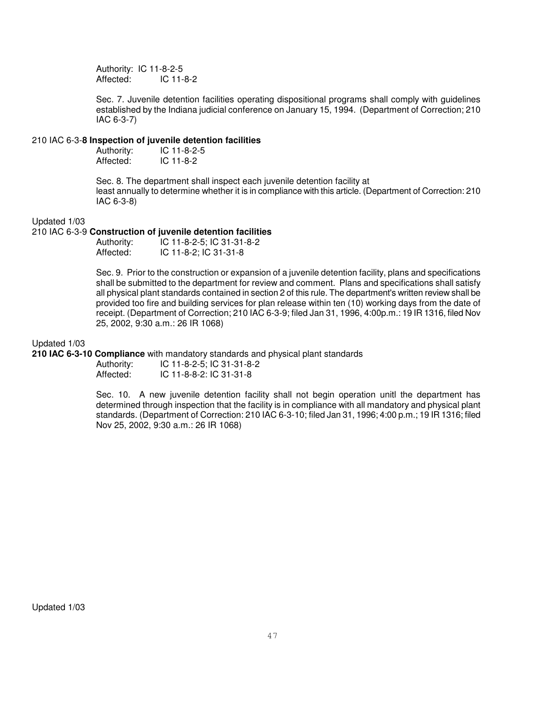Authority: IC 11-8-2-5 Affected: IC 11-8-2

Sec. 7. Juvenile detention facilities operating dispositional programs shall comply with guidelines established by the Indiana judicial conference on January 15, 1994. (Department of Correction; 210 IAC 6-3-7)

#### 210 IAC 6-3-**8 Inspection of juvenile detention facilities**

| Authority: | $IC$ 11-8-2-5 |
|------------|---------------|
| Affected:  | $IC$ 11-8-2   |

Sec. 8. The department shall inspect each juvenile detention facility at least annually to determine whether it is in compliance with this article. (Department of Correction: 210 IAC 6-3-8)

#### Updated 1/03

#### 210 IAC 6-3-9 **Construction of juvenile detention facilities**

| Authority: | IC 11-8-2-5; IC 31-31-8-2 |
|------------|---------------------------|
| Affected:  | IC 11-8-2; IC 31-31-8     |

Sec. 9. Prior to the construction or expansion of a juvenile detention facility, plans and specifications shall be submitted to the department for review and comment. Plans and specifications shall satisfy all physical plant standards contained in section 2 of this rule. The department's written review shall be provided too fire and building services for plan release within ten (10) working days from the date of receipt. (Department of Correction; 210 IAC 6-3-9; filed Jan 31, 1996, 4:00p.m.: 19 IR 1316, filed Nov 25, 2002, 9:30 a.m.: 26 IR 1068)

#### Updated 1/03

**210 IAC 6-3-10 Compliance** with mandatory standards and physical plant standards

Authority: IC 11-8-2-5; IC 31-31-8-2<br>Affected: IC 11-8-8-2: IC 31-31-8 Affected: IC 11-8-8-2: IC 31-31-8

Sec. 10. A new juvenile detention facility shall not begin operation unitl the department has determined through inspection that the facility is in compliance with all mandatory and physical plant standards. (Department of Correction: 210 IAC 6-3-10; filed Jan 31, 1996; 4:00 p.m.; 19 IR 1316; filed Nov 25, 2002, 9:30 a.m.: 26 IR 1068)

Updated 1/03